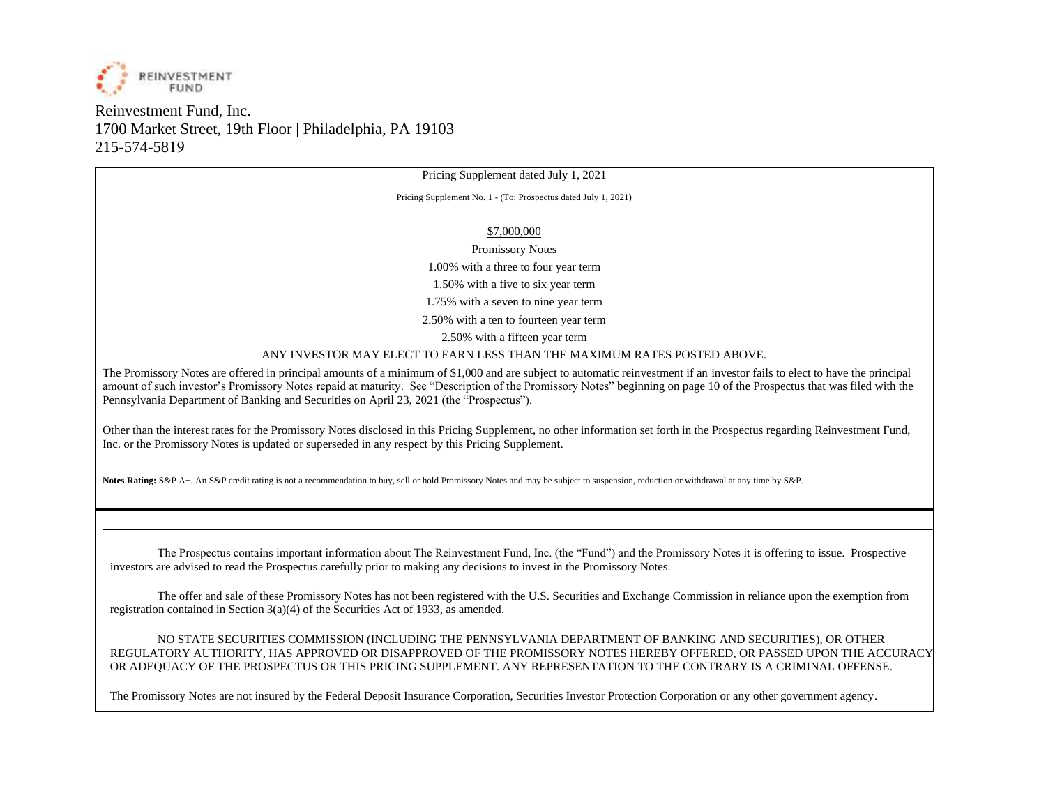

# Reinvestment Fund, Inc. 1700 Market Street, 19th Floor | Philadelphia, PA 19103 215-574-5819

Pricing Supplement dated July 1, 2021

Pricing Supplement No. 1 - (To: Prospectus dated July 1, 2021)

#### \$7,000,000

Promissory Notes

1.00% with a three to four year term

1.50% with a five to six year term

1.75% with a seven to nine year term

2.50% with a ten to fourteen year term

2.50% with a fifteen year term

ANY INVESTOR MAY ELECT TO EARN LESS THAN THE MAXIMUM RATES POSTED ABOVE.

The Promissory Notes are offered in principal amounts of a minimum of \$1,000 and are subject to automatic reinvestment if an investor fails to elect to have the principal amount of such investor's Promissory Notes repaid at maturity. See "Description of the Promissory Notes" beginning on page 10 of the Prospectus that was filed with the Pennsylvania Department of Banking and Securities on April 23, 2021 (the "Prospectus").

Other than the interest rates for the Promissory Notes disclosed in this Pricing Supplement, no other information set forth in the Prospectus regarding Reinvestment Fund, Inc. or the Promissory Notes is updated or superseded in any respect by this Pricing Supplement.

**Notes Rating:** S&P A+. An S&P credit rating is not a recommendation to buy, sell or hold Promissory Notes and may be subject to suspension, reduction or withdrawal at any time by S&P.

The Prospectus contains important information about The Reinvestment Fund, Inc. (the "Fund") and the Promissory Notes it is offering to issue. Prospective investors are advised to read the Prospectus carefully prior to making any decisions to invest in the Promissory Notes.

The offer and sale of these Promissory Notes has not been registered with the U.S. Securities and Exchange Commission in reliance upon the exemption from registration contained in Section  $3(a)(4)$  of the Securities Act of 1933, as amended.

NO STATE SECURITIES COMMISSION (INCLUDING THE PENNSYLVANIA DEPARTMENT OF BANKING AND SECURITIES), OR OTHER REGULATORY AUTHORITY, HAS APPROVED OR DISAPPROVED OF THE PROMISSORY NOTES HEREBY OFFERED, OR PASSED UPON THE ACCURACY OR ADEQUACY OF THE PROSPECTUS OR THIS PRICING SUPPLEMENT. ANY REPRESENTATION TO THE CONTRARY IS A CRIMINAL OFFENSE.

The Promissory Notes are not insured by the Federal Deposit Insurance Corporation, Securities Investor Protection Corporation or any other government agency.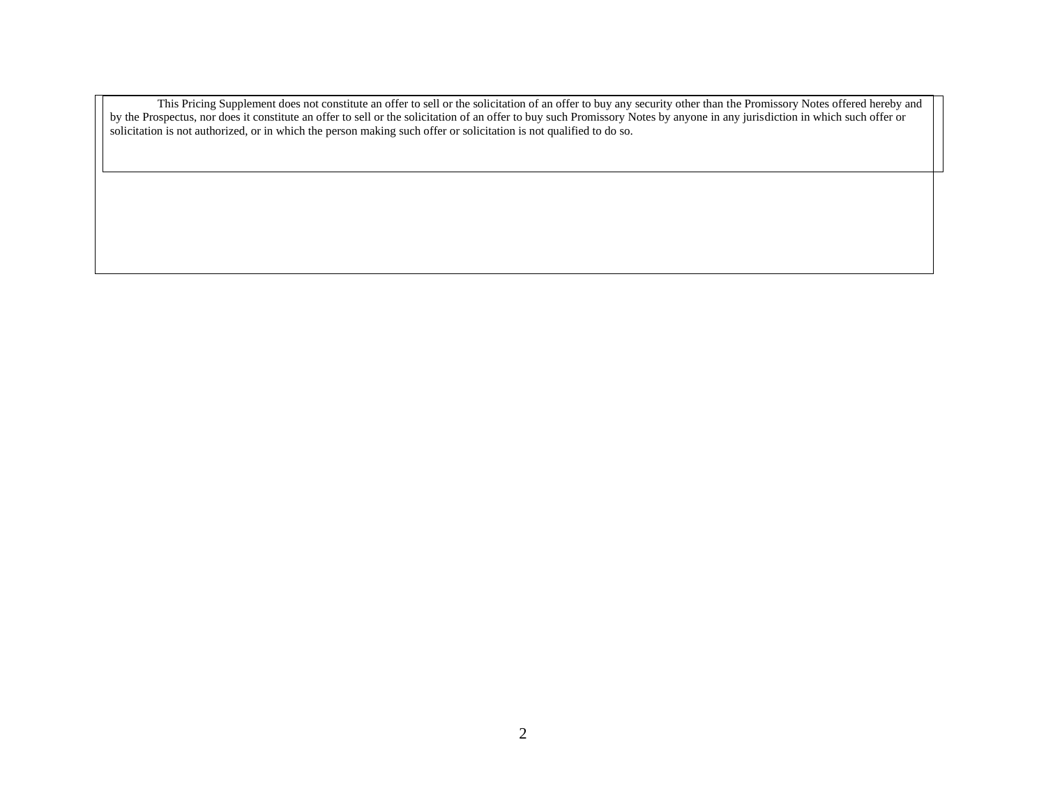This Pricing Supplement does not constitute an offer to sell or the solicitation of an offer to buy any security other than the Promissory Notes offered hereby and by the Prospectus, nor does it constitute an offer to sell or the solicitation of an offer to buy such Promissory Notes by anyone in any jurisdiction in which such offer or solicitation is not authorized, or in which the person making such offer or solicitation is not qualified to do so.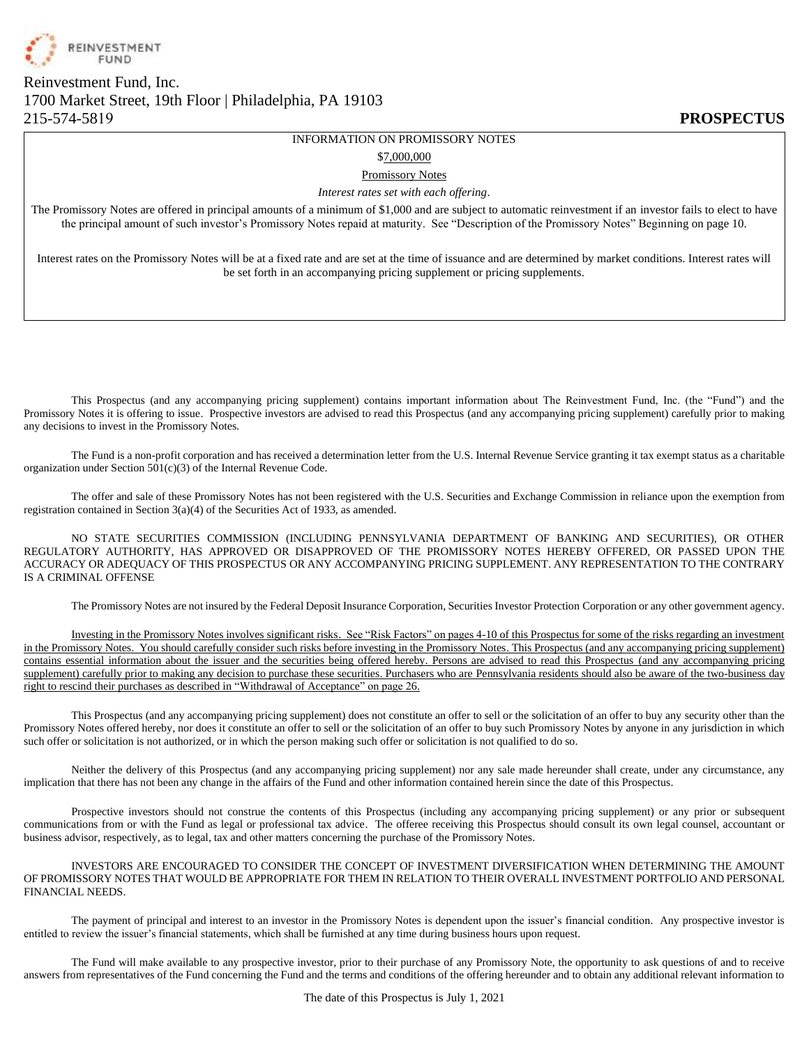

# Reinvestment Fund, Inc. 1700 Market Street, 19th Floor | Philadelphia, PA 19103 215-574-5819 **PROSPECTUS**

# INFORMATION ON PROMISSORY NOTES

\$7,000,000

#### Promissory Notes

*Interest rates set with each offering*.

The Promissory Notes are offered in principal amounts of a minimum of \$1,000 and are subject to automatic reinvestment if an investor fails to elect to have the principal amount of such investor's Promissory Notes repaid at maturity. See "Description of the Promissory Notes" Beginning on page 10.

Interest rates on the Promissory Notes will be at a fixed rate and are set at the time of issuance and are determined by market conditions. Interest rates will be set forth in an accompanying pricing supplement or pricing supplements.

This Prospectus (and any accompanying pricing supplement) contains important information about The Reinvestment Fund, Inc. (the "Fund") and the Promissory Notes it is offering to issue. Prospective investors are advised to read this Prospectus (and any accompanying pricing supplement) carefully prior to making any decisions to invest in the Promissory Notes.

The Fund is a non-profit corporation and has received a determination letter from the U.S. Internal Revenue Service granting it tax exempt status as a charitable organization under Section  $501(c)(3)$  of the Internal Revenue Code.

The offer and sale of these Promissory Notes has not been registered with the U.S. Securities and Exchange Commission in reliance upon the exemption from registration contained in Section 3(a)(4) of the Securities Act of 1933, as amended.

NO STATE SECURITIES COMMISSION (INCLUDING PENNSYLVANIA DEPARTMENT OF BANKING AND SECURITIES), OR OTHER REGULATORY AUTHORITY, HAS APPROVED OR DISAPPROVED OF THE PROMISSORY NOTES HEREBY OFFERED, OR PASSED UPON THE ACCURACY OR ADEQUACY OF THIS PROSPECTUS OR ANY ACCOMPANYING PRICING SUPPLEMENT. ANY REPRESENTATION TO THE CONTRARY IS A CRIMINAL OFFENSE

The Promissory Notes are not insured by the Federal Deposit Insurance Corporation, Securities Investor Protection Corporation or any other government agency.

Investing in the Promissory Notes involves significant risks. See "Risk Factors" on pages 4-10 of this Prospectus for some of the risks regarding an investment in the Promissory Notes. You should carefully consider such risks before investing in the Promissory Notes. This Prospectus (and any accompanying pricing supplement) contains essential information about the issuer and the securities being offered hereby. Persons are advised to read this Prospectus (and any accompanying pricing supplement) carefully prior to making any decision to purchase these securities. Purchasers who are Pennsylvania residents should also be aware of the two-business day right to rescind their purchases as described in "Withdrawal of Acceptance" on page 26.

This Prospectus (and any accompanying pricing supplement) does not constitute an offer to sell or the solicitation of an offer to buy any security other than the Promissory Notes offered hereby, nor does it constitute an offer to sell or the solicitation of an offer to buy such Promissory Notes by anyone in any jurisdiction in which such offer or solicitation is not authorized, or in which the person making such offer or solicitation is not qualified to do so.

Neither the delivery of this Prospectus (and any accompanying pricing supplement) nor any sale made hereunder shall create, under any circumstance, any implication that there has not been any change in the affairs of the Fund and other information contained herein since the date of this Prospectus.

Prospective investors should not construe the contents of this Prospectus (including any accompanying pricing supplement) or any prior or subsequent communications from or with the Fund as legal or professional tax advice. The offeree receiving this Prospectus should consult its own legal counsel, accountant or business advisor, respectively, as to legal, tax and other matters concerning the purchase of the Promissory Notes.

INVESTORS ARE ENCOURAGED TO CONSIDER THE CONCEPT OF INVESTMENT DIVERSIFICATION WHEN DETERMINING THE AMOUNT OF PROMISSORY NOTES THAT WOULD BE APPROPRIATE FOR THEM IN RELATION TO THEIR OVERALL INVESTMENT PORTFOLIO AND PERSONAL FINANCIAL NEEDS.

The payment of principal and interest to an investor in the Promissory Notes is dependent upon the issuer's financial condition. Any prospective investor is entitled to review the issuer's financial statements, which shall be furnished at any time during business hours upon request.

The Fund will make available to any prospective investor, prior to their purchase of any Promissory Note, the opportunity to ask questions of and to receive answers from representatives of the Fund concerning the Fund and the terms and conditions of the offering hereunder and to obtain any additional relevant information to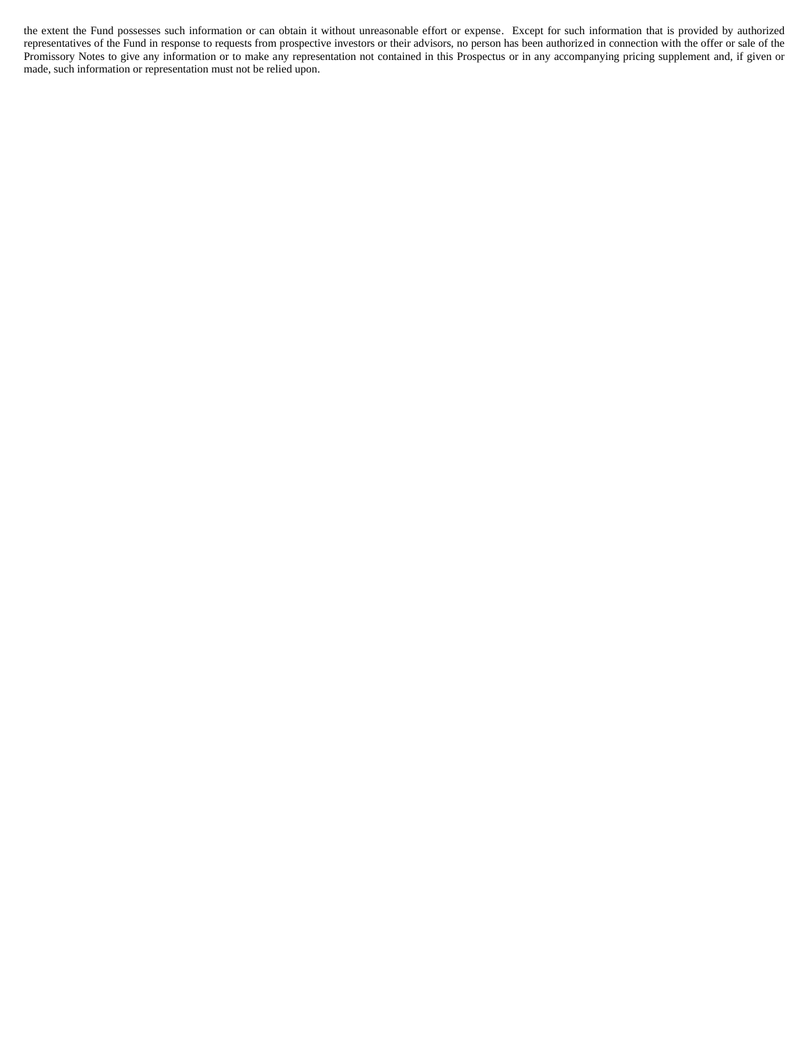the extent the Fund possesses such information or can obtain it without unreasonable effort or expense. Except for such information that is provided by authorized representatives of the Fund in response to requests from prospective investors or their advisors, no person has been authorized in connection with the offer or sale of the Promissory Notes to give any information or to make any representation not contained in this Prospectus or in any accompanying pricing supplement and, if given or made, such information or representation must not be relied upon.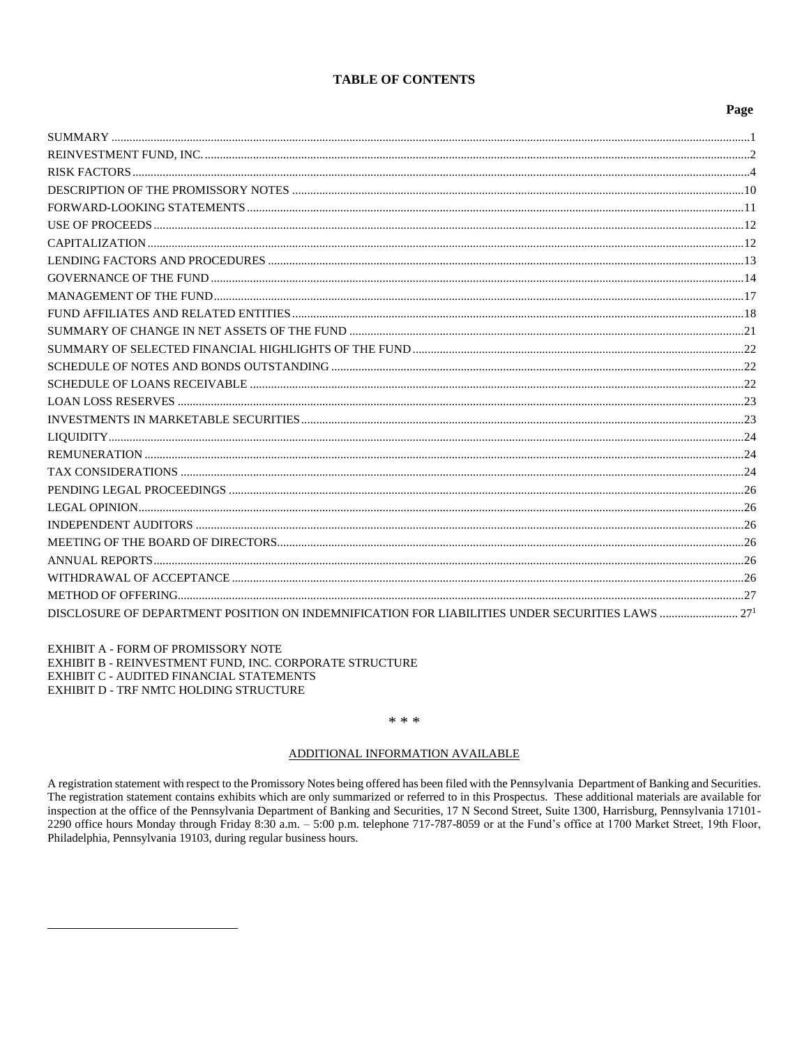#### **TABLE OF CONTENTS**

#### Page

| DISCLOSURE OF DEPARTMENT POSITION ON INDEMNIFICATION FOR LIABILITIES UNDER SECURITIES LAWS  27 <sup>1</sup> |  |
|-------------------------------------------------------------------------------------------------------------|--|
|                                                                                                             |  |

EXHIBIT A - FORM OF PROMISSORY NOTE EXHIBIT B - REINVESTMENT FUND, INC. CORPORATE STRUCTURE EXHIBIT C - AUDITED FINANCIAL STATEMENTS EXHIBIT D - TRF NMTC HOLDING STRUCTURE

#### $* * *$

#### ADDITIONAL INFORMATION AVAILABLE

A registration statement with respect to the Promissory Notes being offered has been filed with the Pennsylvania Department of Banking and Securities. The registration statement contains exhibits which are only summarized or referred to in this Prospectus. These additional materials are available for inspection at the office of the Pennsylvania Department of Banking and Securities, 17 N Second Street, Suite 1300, Harrisburg, Pennsylvania 17101-2290 office hours Monday through Friday 8:30 a.m. - 5:00 p.m. telephone 717-787-8059 or at the Fund's office at 1700 Market Street, 19th Floor, Philadelphia, Pennsylvania 19103, during regular business hours.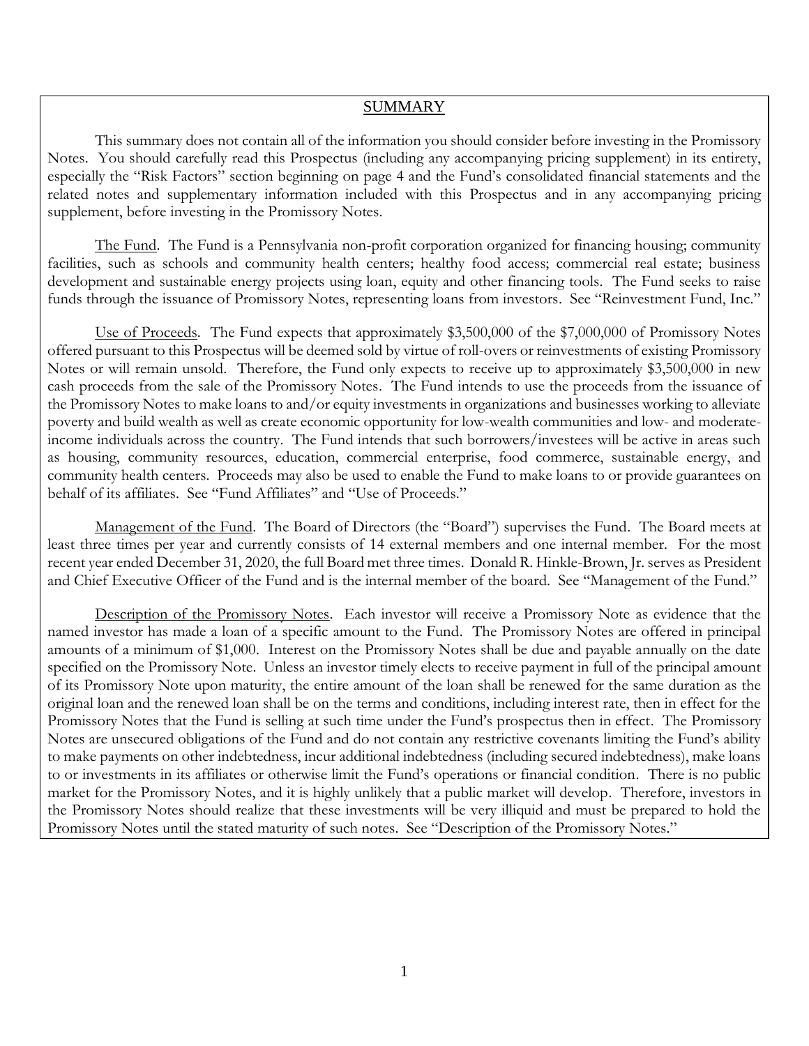## SUMMARY

<span id="page-5-0"></span>This summary does not contain all of the information you should consider before investing in the Promissory Notes. You should carefully read this Prospectus (including any accompanying pricing supplement) in its entirety, especially the "Risk Factors" section beginning on page 4 and the Fund's consolidated financial statements and the related notes and supplementary information included with this Prospectus and in any accompanying pricing supplement, before investing in the Promissory Notes.

The Fund. The Fund is a Pennsylvania non-profit corporation organized for financing housing; community facilities, such as schools and community health centers; healthy food access; commercial real estate; business development and sustainable energy projects using loan, equity and other financing tools. The Fund seeks to raise funds through the issuance of Promissory Notes, representing loans from investors. See "Reinvestment Fund, Inc."

Use of Proceeds. The Fund expects that approximately \$3,500,000 of the \$7,000,000 of Promissory Notes offered pursuant to this Prospectus will be deemed sold by virtue of roll-overs or reinvestments of existing Promissory Notes or will remain unsold. Therefore, the Fund only expects to receive up to approximately \$3,500,000 in new cash proceeds from the sale of the Promissory Notes. The Fund intends to use the proceeds from the issuance of the Promissory Notes to make loans to and/or equity investments in organizations and businesses working to alleviate poverty and build wealth as well as create economic opportunity for low-wealth communities and low- and moderateincome individuals across the country. The Fund intends that such borrowers/investees will be active in areas such as housing, community resources, education, commercial enterprise, food commerce, sustainable energy, and community health centers. Proceeds may also be used to enable the Fund to make loans to or provide guarantees on behalf of its affiliates. See "Fund Affiliates" and "Use of Proceeds."

Management of the Fund. The Board of Directors (the "Board") supervises the Fund. The Board meets at least three times per year and currently consists of 14 external members and one internal member. For the most recent year ended December 31, 2020, the full Board met three times. Donald R. Hinkle-Brown, Jr. serves as President and Chief Executive Officer of the Fund and is the internal member of the board. See "Management of the Fund."

Description of the Promissory Notes. Each investor will receive a Promissory Note as evidence that the named investor has made a loan of a specific amount to the Fund. The Promissory Notes are offered in principal amounts of a minimum of \$1,000. Interest on the Promissory Notes shall be due and payable annually on the date specified on the Promissory Note. Unless an investor timely elects to receive payment in full of the principal amount of its Promissory Note upon maturity, the entire amount of the loan shall be renewed for the same duration as the original loan and the renewed loan shall be on the terms and conditions, including interest rate, then in effect for the Promissory Notes that the Fund is selling at such time under the Fund's prospectus then in effect. The Promissory Notes are unsecured obligations of the Fund and do not contain any restrictive covenants limiting the Fund's ability to make payments on other indebtedness, incur additional indebtedness (including secured indebtedness), make loans to or investments in its affiliates or otherwise limit the Fund's operations or financial condition. There is no public market for the Promissory Notes, and it is highly unlikely that a public market will develop. Therefore, investors in the Promissory Notes should realize that these investments will be very illiquid and must be prepared to hold the Promissory Notes until the stated maturity of such notes. See "Description of the Promissory Notes."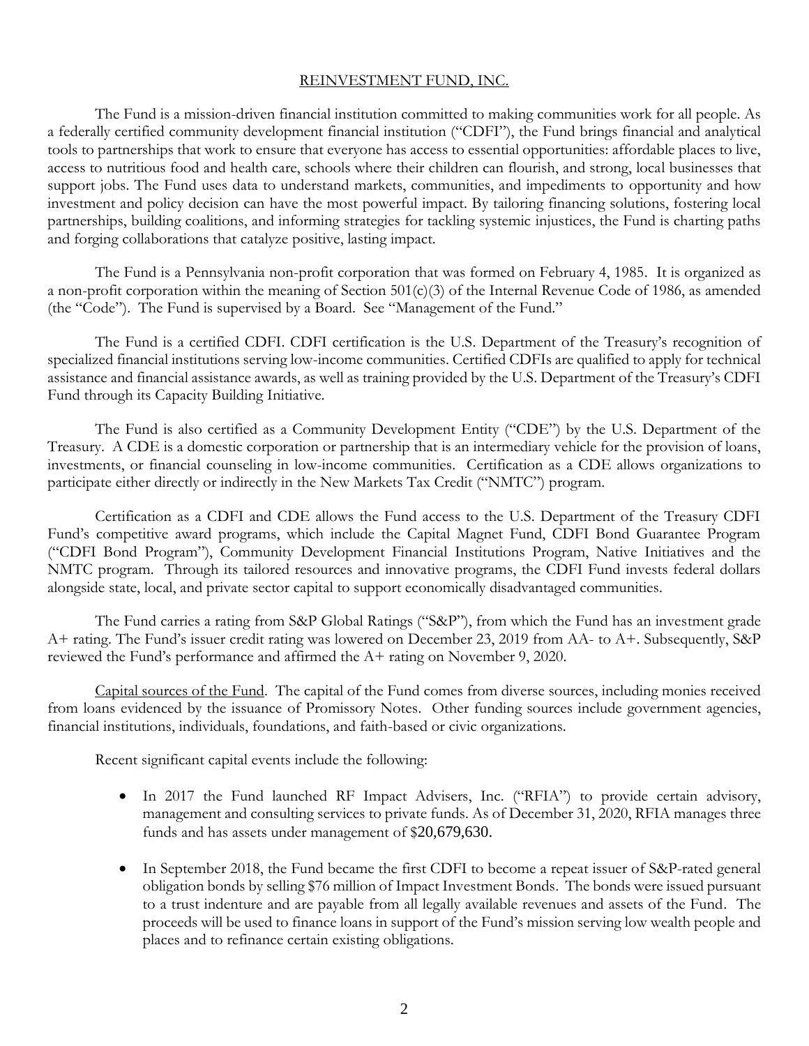# REINVESTMENT FUND, INC.

<span id="page-6-0"></span>The Fund is a mission-driven financial institution committed to making communities work for all people. As a federally certified community development financial institution ("CDFI"), the Fund brings financial and analytical tools to partnerships that work to ensure that everyone has access to essential opportunities: affordable places to live, access to nutritious food and health care, schools where their children can flourish, and strong, local businesses that support jobs. The Fund uses data to understand markets, communities, and impediments to opportunity and how investment and policy decision can have the most powerful impact. By tailoring financing solutions, fostering local partnerships, building coalitions, and informing strategies for tackling systemic injustices, the Fund is charting paths and forging collaborations that catalyze positive, lasting impact.

The Fund is a Pennsylvania non-profit corporation that was formed on February 4, 1985. It is organized as a non-profit corporation within the meaning of Section 501(c)(3) of the Internal Revenue Code of 1986, as amended (the "Code"). The Fund is supervised by a Board. See "Management of the Fund."

The Fund is a certified CDFI. CDFI certification is the U.S. Department of the Treasury's recognition of specialized financial institutions serving low-income communities. Certified CDFIs are qualified to apply for technical assistance and financial assistance awards, as well as training provided by the U.S. Department of the Treasury's CDFI Fund through its Capacity Building Initiative.

The Fund is also certified as a Community Development Entity ("CDE") by the U.S. Department of the Treasury. A CDE is a domestic corporation or partnership that is an intermediary vehicle for the provision of loans, investments, or financial counseling in low-income communities. Certification as a CDE allows organizations to participate either directly or indirectly in the New Markets Tax Credit ("NMTC") program.

Certification as a CDFI and CDE allows the Fund access to the U.S. Department of the Treasury CDFI Fund's competitive award programs, which include the Capital Magnet Fund, CDFI Bond Guarantee Program ("CDFI Bond Program"), Community Development Financial Institutions Program, Native Initiatives and the NMTC program. Through its tailored resources and innovative programs, the CDFI Fund invests federal dollars alongside state, local, and private sector capital to support economically disadvantaged communities.

The Fund carries a rating from S&P Global Ratings ("S&P"), from which the Fund has an investment grade A+ rating. The Fund's issuer credit rating was lowered on December 23, 2019 from AA- to A+. Subsequently, S&P reviewed the Fund's performance and affirmed the A+ rating on November 9, 2020.

Capital sources of the Fund. The capital of the Fund comes from diverse sources, including monies received from loans evidenced by the issuance of Promissory Notes. Other funding sources include government agencies, financial institutions, individuals, foundations, and faith-based or civic organizations.

Recent significant capital events include the following:

- In 2017 the Fund launched RF Impact Advisers, Inc. ("RFIA") to provide certain advisory, management and consulting services to private funds. As of December 31, 2020, RFIA manages three funds and has assets under management of \$20,679,630.
- In September 2018, the Fund became the first CDFI to become a repeat issuer of S&P-rated general obligation bonds by selling \$76 million of Impact Investment Bonds. The bonds were issued pursuant to a trust indenture and are payable from all legally available revenues and assets of the Fund. The proceeds will be used to finance loans in support of the Fund's mission serving low wealth people and places and to refinance certain existing obligations.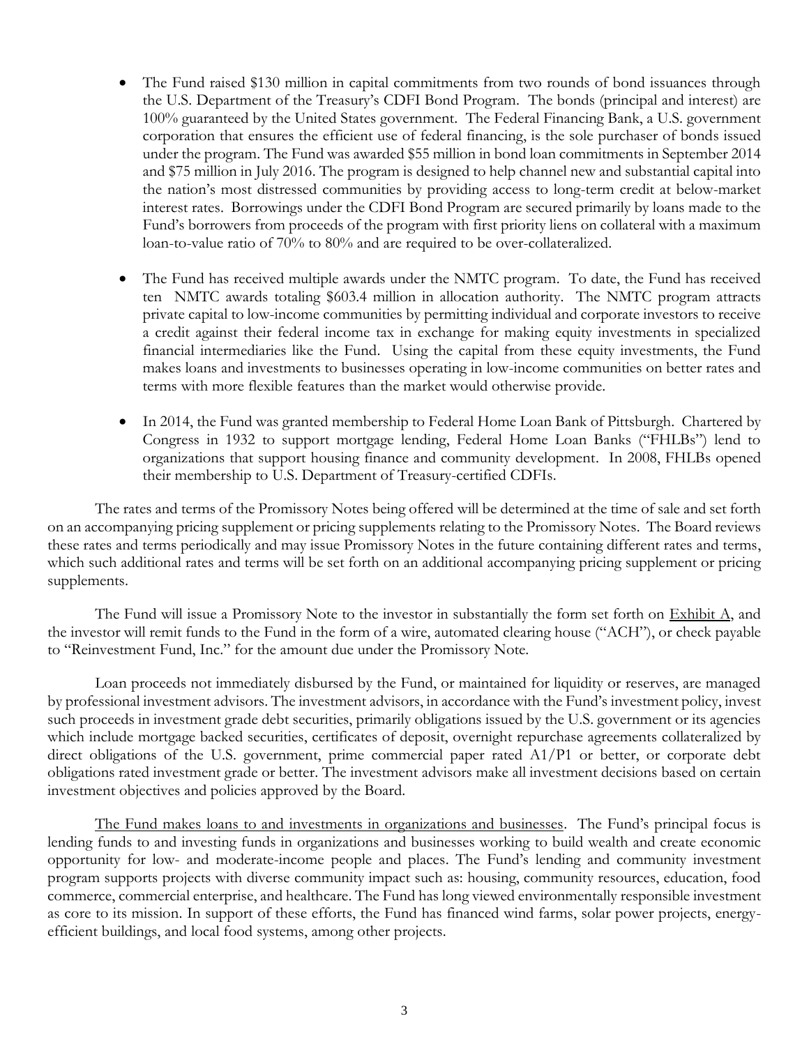- The Fund raised \$130 million in capital commitments from two rounds of bond issuances through the U.S. Department of the Treasury's CDFI Bond Program. The bonds (principal and interest) are 100% guaranteed by the United States government. The Federal Financing Bank, a U.S. government corporation that ensures the efficient use of federal financing, is the sole purchaser of bonds issued under the program. The Fund was awarded \$55 million in bond loan commitments in September 2014 and \$75 million in July 2016. The program is designed to help channel new and substantial capital into the nation's most distressed communities by providing access to long-term credit at below-market interest rates. Borrowings under the CDFI Bond Program are secured primarily by loans made to the Fund's borrowers from proceeds of the program with first priority liens on collateral with a maximum loan-to-value ratio of 70% to 80% and are required to be over-collateralized.
- The Fund has received multiple awards under the NMTC program. To date, the Fund has received ten NMTC awards totaling \$603.4 million in allocation authority. The NMTC program attracts private capital to low-income communities by permitting individual and corporate investors to receive a credit against their federal income tax in exchange for making equity investments in specialized financial intermediaries like the Fund. Using the capital from these equity investments, the Fund makes loans and investments to businesses operating in low-income communities on better rates and terms with more flexible features than the market would otherwise provide.
- In 2014, the Fund was granted membership to Federal Home Loan Bank of Pittsburgh. Chartered by Congress in 1932 to support mortgage lending, Federal Home Loan Banks ("FHLBs") lend to organizations that support housing finance and community development. In 2008, FHLBs opened their membership to U.S. Department of Treasury-certified CDFIs.

The rates and terms of the Promissory Notes being offered will be determined at the time of sale and set forth on an accompanying pricing supplement or pricing supplements relating to the Promissory Notes. The Board reviews these rates and terms periodically and may issue Promissory Notes in the future containing different rates and terms, which such additional rates and terms will be set forth on an additional accompanying pricing supplement or pricing supplements.

The Fund will issue a Promissory Note to the investor in substantially the form set forth on Exhibit A, and the investor will remit funds to the Fund in the form of a wire, automated clearing house ("ACH"), or check payable to "Reinvestment Fund, Inc." for the amount due under the Promissory Note.

Loan proceeds not immediately disbursed by the Fund, or maintained for liquidity or reserves, are managed by professional investment advisors. The investment advisors, in accordance with the Fund's investment policy, invest such proceeds in investment grade debt securities, primarily obligations issued by the U.S. government or its agencies which include mortgage backed securities, certificates of deposit, overnight repurchase agreements collateralized by direct obligations of the U.S. government, prime commercial paper rated A1/P1 or better, or corporate debt obligations rated investment grade or better. The investment advisors make all investment decisions based on certain investment objectives and policies approved by the Board.

The Fund makes loans to and investments in organizations and businesses. The Fund's principal focus is lending funds to and investing funds in organizations and businesses working to build wealth and create economic opportunity for low- and moderate-income people and places. The Fund's lending and community investment program supports projects with diverse community impact such as: housing, community resources, education, food commerce, commercial enterprise, and healthcare. The Fund has long viewed environmentally responsible investment as core to its mission. In support of these efforts, the Fund has financed wind farms, solar power projects, energyefficient buildings, and local food systems, among other projects.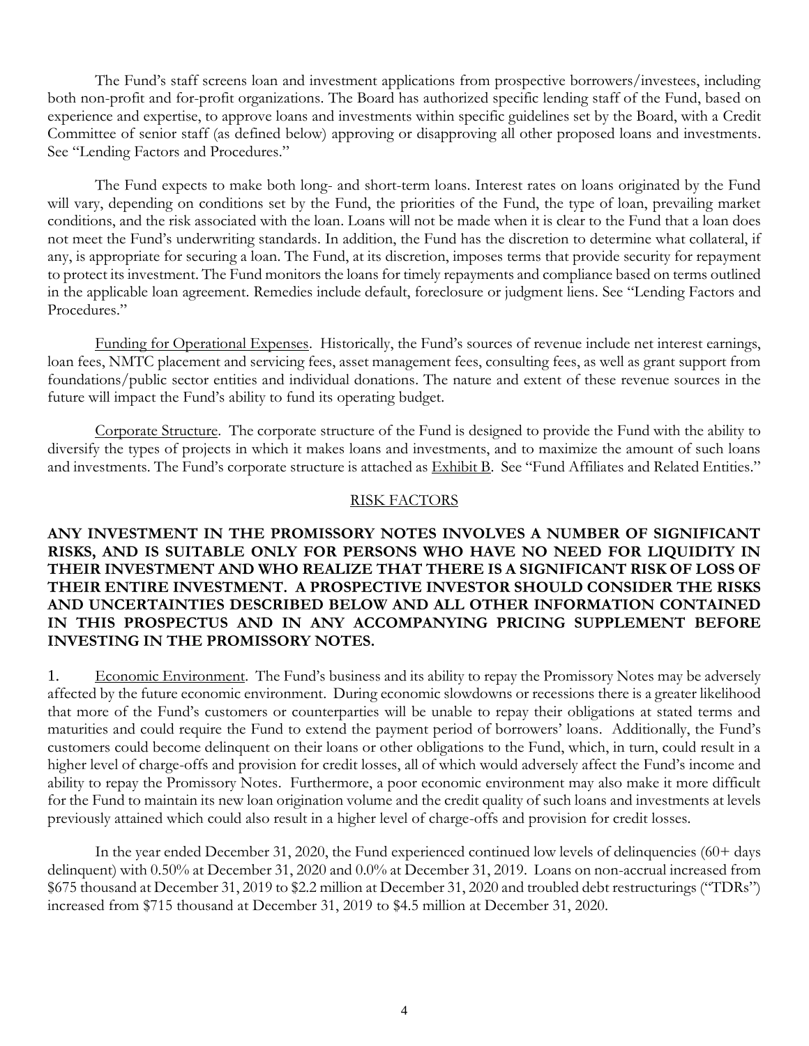The Fund's staff screens loan and investment applications from prospective borrowers/investees, including both non-profit and for-profit organizations. The Board has authorized specific lending staff of the Fund, based on experience and expertise, to approve loans and investments within specific guidelines set by the Board, with a Credit Committee of senior staff (as defined below) approving or disapproving all other proposed loans and investments. See "Lending Factors and Procedures."

The Fund expects to make both long- and short-term loans. Interest rates on loans originated by the Fund will vary, depending on conditions set by the Fund, the priorities of the Fund, the type of loan, prevailing market conditions, and the risk associated with the loan. Loans will not be made when it is clear to the Fund that a loan does not meet the Fund's underwriting standards. In addition, the Fund has the discretion to determine what collateral, if any, is appropriate for securing a loan. The Fund, at its discretion, imposes terms that provide security for repayment to protect its investment. The Fund monitors the loans for timely repayments and compliance based on terms outlined in the applicable loan agreement. Remedies include default, foreclosure or judgment liens. See "Lending Factors and Procedures."

Funding for Operational Expenses. Historically, the Fund's sources of revenue include net interest earnings, loan fees, NMTC placement and servicing fees, asset management fees, consulting fees, as well as grant support from foundations/public sector entities and individual donations. The nature and extent of these revenue sources in the future will impact the Fund's ability to fund its operating budget.

Corporate Structure. The corporate structure of the Fund is designed to provide the Fund with the ability to diversify the types of projects in which it makes loans and investments, and to maximize the amount of such loans and investments. The Fund's corporate structure is attached as Exhibit B. See "Fund Affiliates and Related Entities."

# RISK FACTORS

# <span id="page-8-0"></span>**ANY INVESTMENT IN THE PROMISSORY NOTES INVOLVES A NUMBER OF SIGNIFICANT RISKS, AND IS SUITABLE ONLY FOR PERSONS WHO HAVE NO NEED FOR LIQUIDITY IN THEIR INVESTMENT AND WHO REALIZE THAT THERE IS A SIGNIFICANT RISK OF LOSS OF THEIR ENTIRE INVESTMENT. A PROSPECTIVE INVESTOR SHOULD CONSIDER THE RISKS AND UNCERTAINTIES DESCRIBED BELOW AND ALL OTHER INFORMATION CONTAINED IN THIS PROSPECTUS AND IN ANY ACCOMPANYING PRICING SUPPLEMENT BEFORE INVESTING IN THE PROMISSORY NOTES.**

1. Economic Environment. The Fund's business and its ability to repay the Promissory Notes may be adversely affected by the future economic environment. During economic slowdowns or recessions there is a greater likelihood that more of the Fund's customers or counterparties will be unable to repay their obligations at stated terms and maturities and could require the Fund to extend the payment period of borrowers' loans. Additionally, the Fund's customers could become delinquent on their loans or other obligations to the Fund, which, in turn, could result in a higher level of charge-offs and provision for credit losses, all of which would adversely affect the Fund's income and ability to repay the Promissory Notes. Furthermore, a poor economic environment may also make it more difficult for the Fund to maintain its new loan origination volume and the credit quality of such loans and investments at levels previously attained which could also result in a higher level of charge-offs and provision for credit losses.

In the year ended December 31, 2020, the Fund experienced continued low levels of delinquencies (60+ days delinquent) with 0.50% at December 31, 2020 and 0.0% at December 31, 2019. Loans on non-accrual increased from \$675 thousand at December 31, 2019 to \$2.2 million at December 31, 2020 and troubled debt restructurings ("TDRs") increased from \$715 thousand at December 31, 2019 to \$4.5 million at December 31, 2020.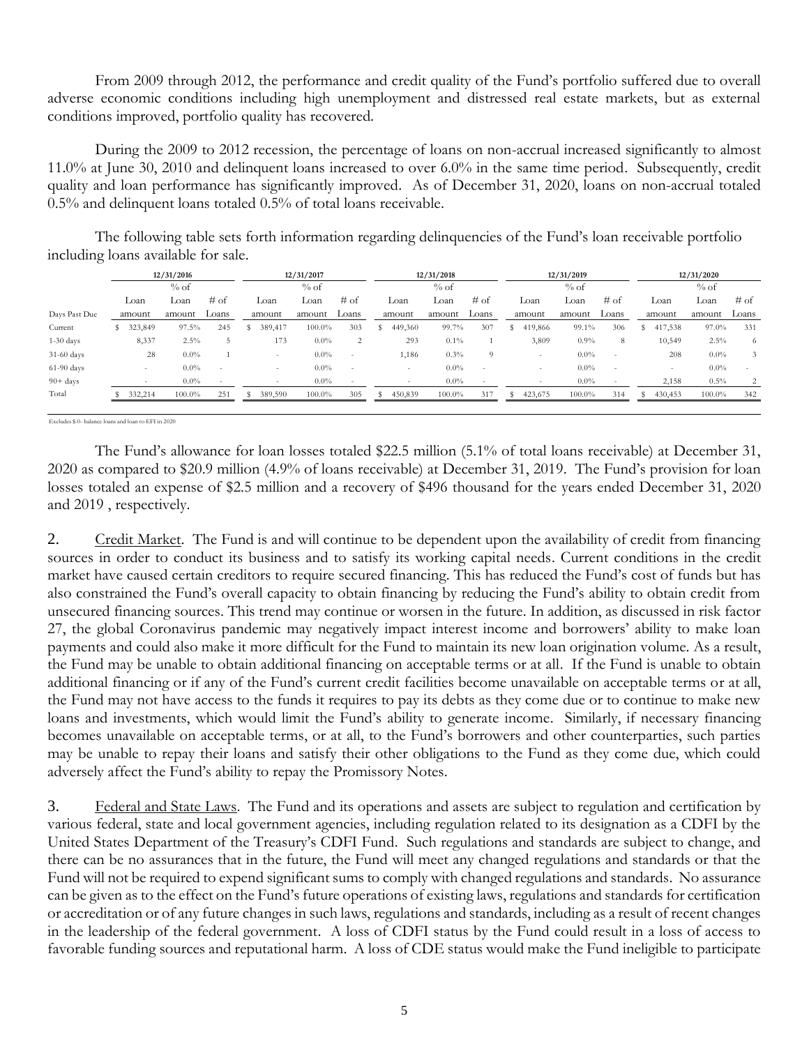From 2009 through 2012, the performance and credit quality of the Fund's portfolio suffered due to overall adverse economic conditions including high unemployment and distressed real estate markets, but as external conditions improved, portfolio quality has recovered.

During the 2009 to 2012 recession, the percentage of loans on non-accrual increased significantly to almost 11.0% at June 30, 2010 and delinquent loans increased to over 6.0% in the same time period. Subsequently, credit quality and loan performance has significantly improved. As of December 31, 2020, loans on non-accrual totaled 0.5% and delinquent loans totaled 0.5% of total loans receivable.

The following table sets forth information regarding delinquencies of the Fund's loan receivable portfolio including loans available for sale.

|                    | 12/31/2016 |                          |         | 12/31/2017 |  |                          | 12/31/2018 |                          |        | 12/31/2019 |         |        |        | 12/31/2020               |         |                          |  |         |         |        |
|--------------------|------------|--------------------------|---------|------------|--|--------------------------|------------|--------------------------|--------|------------|---------|--------|--------|--------------------------|---------|--------------------------|--|---------|---------|--------|
|                    |            | % of                     |         | $%$ of     |  |                          |            | % of                     | $%$ of |            |         |        | $%$ of |                          |         |                          |  |         |         |        |
|                    |            | Loan                     | Loan    | $#$ of     |  | Loan                     | Loan       | $#$ of                   |        | Loan       | Loan    | $#$ of |        | Loan                     | Loan    | $#$ of                   |  | Loan    | Loan    | $#$ of |
| Days Past Due      |            | amount                   | amount  | Loans      |  | amount                   | amount     | Loans                    |        | amount     | amount  | Loans  |        | amount                   | amount  | Loans                    |  | amount  | amount  | Loans  |
| Current            |            | 323,849                  | 97.5%   | 245        |  | 389,417                  | 100.0%     | 303                      |        | 449,360    | 99.7%   | 307    |        | 419,866                  | 99.1%   | 306                      |  | 417,538 | 97.0%   | 331    |
| $1-30$ days        |            | 8,337                    | 2.5%    |            |  | 173                      | $0.0\%$    | 2                        |        | 293        | $0.1\%$ |        |        | 3,809                    | 0.9%    | 8                        |  | 10,549  | 2.5%    | 6      |
| 31-60 days         |            | 28                       | $0.0\%$ |            |  | $\overline{\phantom{a}}$ | $0.0\%$    | $\overline{\phantom{a}}$ |        | 1,186      | 0.3%    | 9      |        |                          | $0.0\%$ | $\overline{\phantom{a}}$ |  | 208     | $0.0\%$ |        |
| $61-90$ days       |            | ۰                        | $0.0\%$ | $\sim$     |  | ۰                        | $0.0\%$    | $\overline{\phantom{a}}$ |        | ۰          | $0.0\%$ | ٠.     |        | $\overline{\phantom{a}}$ | $0.0\%$ | $\overline{\phantom{a}}$ |  | $\sim$  | $0.0\%$ |        |
| $90 + \text{days}$ |            | $\overline{\phantom{a}}$ | $0.0\%$ |            |  |                          | $0.0\%$    |                          |        |            | $0.0\%$ |        |        |                          | $0.0\%$ |                          |  | 2,158   | 0.5%    | 2      |
| Total              |            | 332,214                  | 100.0%  | 251        |  | 389,590                  | 100.0%     | 305                      |        | 450,839    | 100.0%  | 317    |        | 423,675                  | 100.0%  | 314                      |  | 430,453 | 100.0%  | 342    |
|                    |            |                          |         |            |  |                          |            |                          |        |            |         |        |        |                          |         |                          |  |         |         |        |

Excludes \$-0- balance loans and loan to EFI in 2020

The Fund's allowance for loan losses totaled \$22.5 million (5.1% of total loans receivable) at December 31, 2020 as compared to \$20.9 million (4.9% of loans receivable) at December 31, 2019. The Fund's provision for loan losses totaled an expense of \$2.5 million and a recovery of \$496 thousand for the years ended December 31, 2020 and 2019 , respectively.

2. Credit Market. The Fund is and will continue to be dependent upon the availability of credit from financing sources in order to conduct its business and to satisfy its working capital needs. Current conditions in the credit market have caused certain creditors to require secured financing. This has reduced the Fund's cost of funds but has also constrained the Fund's overall capacity to obtain financing by reducing the Fund's ability to obtain credit from unsecured financing sources. This trend may continue or worsen in the future. In addition, as discussed in risk factor 27, the global Coronavirus pandemic may negatively impact interest income and borrowers' ability to make loan payments and could also make it more difficult for the Fund to maintain its new loan origination volume. As a result, the Fund may be unable to obtain additional financing on acceptable terms or at all. If the Fund is unable to obtain additional financing or if any of the Fund's current credit facilities become unavailable on acceptable terms or at all, the Fund may not have access to the funds it requires to pay its debts as they come due or to continue to make new loans and investments, which would limit the Fund's ability to generate income. Similarly, if necessary financing becomes unavailable on acceptable terms, or at all, to the Fund's borrowers and other counterparties, such parties may be unable to repay their loans and satisfy their other obligations to the Fund as they come due, which could adversely affect the Fund's ability to repay the Promissory Notes.

3. Federal and State Laws. The Fund and its operations and assets are subject to regulation and certification by various federal, state and local government agencies, including regulation related to its designation as a CDFI by the United States Department of the Treasury's CDFI Fund. Such regulations and standards are subject to change, and there can be no assurances that in the future, the Fund will meet any changed regulations and standards or that the Fund will not be required to expend significant sums to comply with changed regulations and standards. No assurance can be given as to the effect on the Fund's future operations of existing laws, regulations and standards for certification or accreditation or of any future changes in such laws, regulations and standards, including as a result of recent changes in the leadership of the federal government. A loss of CDFI status by the Fund could result in a loss of access to favorable funding sources and reputational harm. A loss of CDE status would make the Fund ineligible to participate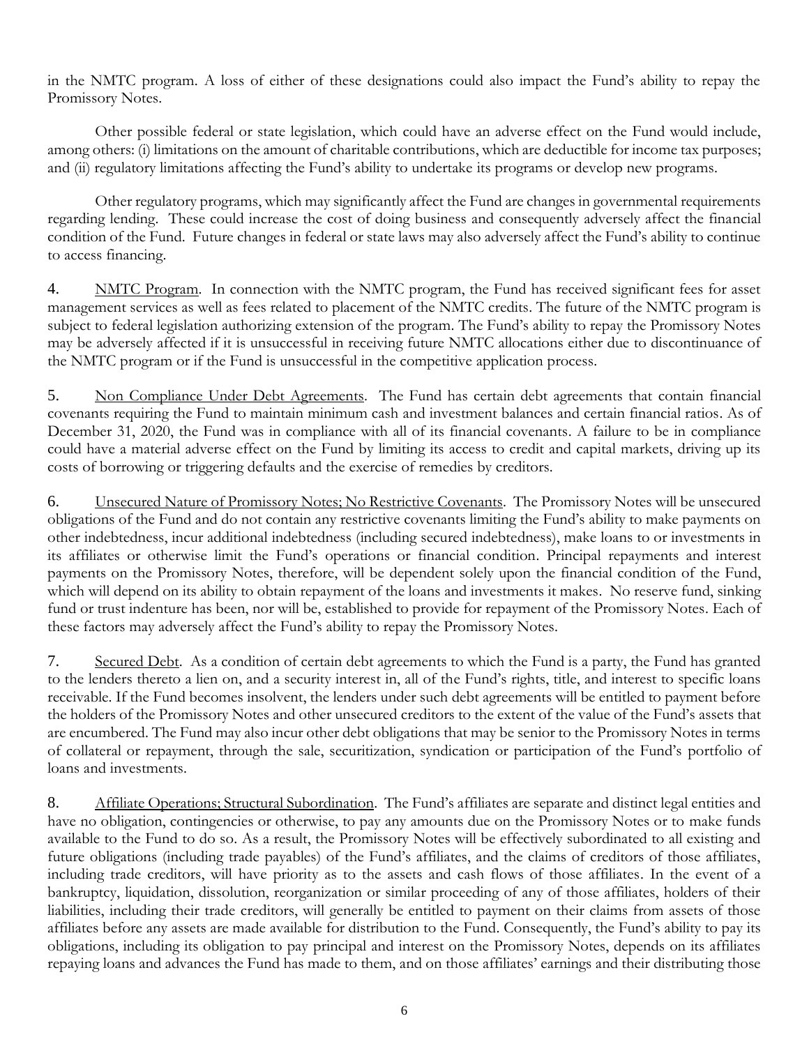in the NMTC program. A loss of either of these designations could also impact the Fund's ability to repay the Promissory Notes.

Other possible federal or state legislation, which could have an adverse effect on the Fund would include, among others: (i) limitations on the amount of charitable contributions, which are deductible for income tax purposes; and (ii) regulatory limitations affecting the Fund's ability to undertake its programs or develop new programs.

Other regulatory programs, which may significantly affect the Fund are changes in governmental requirements regarding lending. These could increase the cost of doing business and consequently adversely affect the financial condition of the Fund. Future changes in federal or state laws may also adversely affect the Fund's ability to continue to access financing.

4. NMTC Program. In connection with the NMTC program, the Fund has received significant fees for asset management services as well as fees related to placement of the NMTC credits. The future of the NMTC program is subject to federal legislation authorizing extension of the program. The Fund's ability to repay the Promissory Notes may be adversely affected if it is unsuccessful in receiving future NMTC allocations either due to discontinuance of the NMTC program or if the Fund is unsuccessful in the competitive application process.

5. Non Compliance Under Debt Agreements. The Fund has certain debt agreements that contain financial covenants requiring the Fund to maintain minimum cash and investment balances and certain financial ratios. As of December 31, 2020, the Fund was in compliance with all of its financial covenants. A failure to be in compliance could have a material adverse effect on the Fund by limiting its access to credit and capital markets, driving up its costs of borrowing or triggering defaults and the exercise of remedies by creditors.

6. Unsecured Nature of Promissory Notes; No Restrictive Covenants. The Promissory Notes will be unsecured obligations of the Fund and do not contain any restrictive covenants limiting the Fund's ability to make payments on other indebtedness, incur additional indebtedness (including secured indebtedness), make loans to or investments in its affiliates or otherwise limit the Fund's operations or financial condition. Principal repayments and interest payments on the Promissory Notes, therefore, will be dependent solely upon the financial condition of the Fund, which will depend on its ability to obtain repayment of the loans and investments it makes. No reserve fund, sinking fund or trust indenture has been, nor will be, established to provide for repayment of the Promissory Notes. Each of these factors may adversely affect the Fund's ability to repay the Promissory Notes.

7. Secured Debt. As a condition of certain debt agreements to which the Fund is a party, the Fund has granted to the lenders thereto a lien on, and a security interest in, all of the Fund's rights, title, and interest to specific loans receivable. If the Fund becomes insolvent, the lenders under such debt agreements will be entitled to payment before the holders of the Promissory Notes and other unsecured creditors to the extent of the value of the Fund's assets that are encumbered. The Fund may also incur other debt obligations that may be senior to the Promissory Notes in terms of collateral or repayment, through the sale, securitization, syndication or participation of the Fund's portfolio of loans and investments.

8. Affiliate Operations; Structural Subordination. The Fund's affiliates are separate and distinct legal entities and have no obligation, contingencies or otherwise, to pay any amounts due on the Promissory Notes or to make funds available to the Fund to do so. As a result, the Promissory Notes will be effectively subordinated to all existing and future obligations (including trade payables) of the Fund's affiliates, and the claims of creditors of those affiliates, including trade creditors, will have priority as to the assets and cash flows of those affiliates. In the event of a bankruptcy, liquidation, dissolution, reorganization or similar proceeding of any of those affiliates, holders of their liabilities, including their trade creditors, will generally be entitled to payment on their claims from assets of those affiliates before any assets are made available for distribution to the Fund. Consequently, the Fund's ability to pay its obligations, including its obligation to pay principal and interest on the Promissory Notes, depends on its affiliates repaying loans and advances the Fund has made to them, and on those affiliates' earnings and their distributing those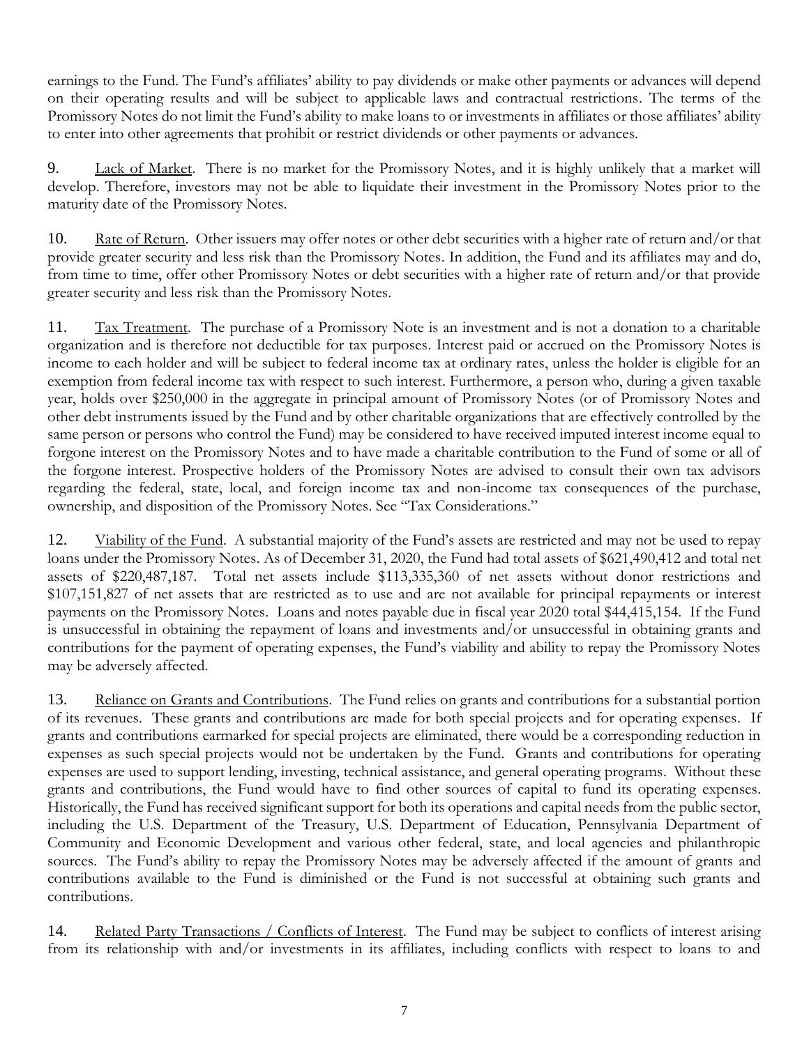earnings to the Fund. The Fund's affiliates' ability to pay dividends or make other payments or advances will depend on their operating results and will be subject to applicable laws and contractual restrictions. The terms of the Promissory Notes do not limit the Fund's ability to make loans to or investments in affiliates or those affiliates' ability to enter into other agreements that prohibit or restrict dividends or other payments or advances.

9. Lack of Market. There is no market for the Promissory Notes, and it is highly unlikely that a market will develop. Therefore, investors may not be able to liquidate their investment in the Promissory Notes prior to the maturity date of the Promissory Notes.

10. Rate of Return. Other issuers may offer notes or other debt securities with a higher rate of return and/or that provide greater security and less risk than the Promissory Notes. In addition, the Fund and its affiliates may and do, from time to time, offer other Promissory Notes or debt securities with a higher rate of return and/or that provide greater security and less risk than the Promissory Notes.

11. Tax Treatment. The purchase of a Promissory Note is an investment and is not a donation to a charitable organization and is therefore not deductible for tax purposes. Interest paid or accrued on the Promissory Notes is income to each holder and will be subject to federal income tax at ordinary rates, unless the holder is eligible for an exemption from federal income tax with respect to such interest. Furthermore, a person who, during a given taxable year, holds over \$250,000 in the aggregate in principal amount of Promissory Notes (or of Promissory Notes and other debt instruments issued by the Fund and by other charitable organizations that are effectively controlled by the same person or persons who control the Fund) may be considered to have received imputed interest income equal to forgone interest on the Promissory Notes and to have made a charitable contribution to the Fund of some or all of the forgone interest. Prospective holders of the Promissory Notes are advised to consult their own tax advisors regarding the federal, state, local, and foreign income tax and non-income tax consequences of the purchase, ownership, and disposition of the Promissory Notes. See "Tax Considerations."

12. Viability of the Fund. A substantial majority of the Fund's assets are restricted and may not be used to repay loans under the Promissory Notes. As of December 31, 2020, the Fund had total assets of \$621,490,412 and total net assets of \$220,487,187. Total net assets include \$113,335,360 of net assets without donor restrictions and \$107,151,827 of net assets that are restricted as to use and are not available for principal repayments or interest payments on the Promissory Notes. Loans and notes payable due in fiscal year 2020 total \$44,415,154. If the Fund is unsuccessful in obtaining the repayment of loans and investments and/or unsuccessful in obtaining grants and contributions for the payment of operating expenses, the Fund's viability and ability to repay the Promissory Notes may be adversely affected.

13. Reliance on Grants and Contributions. The Fund relies on grants and contributions for a substantial portion of its revenues. These grants and contributions are made for both special projects and for operating expenses. If grants and contributions earmarked for special projects are eliminated, there would be a corresponding reduction in expenses as such special projects would not be undertaken by the Fund. Grants and contributions for operating expenses are used to support lending, investing, technical assistance, and general operating programs. Without these grants and contributions, the Fund would have to find other sources of capital to fund its operating expenses. Historically, the Fund has received significant support for both its operations and capital needs from the public sector, including the U.S. Department of the Treasury, U.S. Department of Education, Pennsylvania Department of Community and Economic Development and various other federal, state, and local agencies and philanthropic sources. The Fund's ability to repay the Promissory Notes may be adversely affected if the amount of grants and contributions available to the Fund is diminished or the Fund is not successful at obtaining such grants and contributions.

14. Related Party Transactions / Conflicts of Interest. The Fund may be subject to conflicts of interest arising from its relationship with and/or investments in its affiliates, including conflicts with respect to loans to and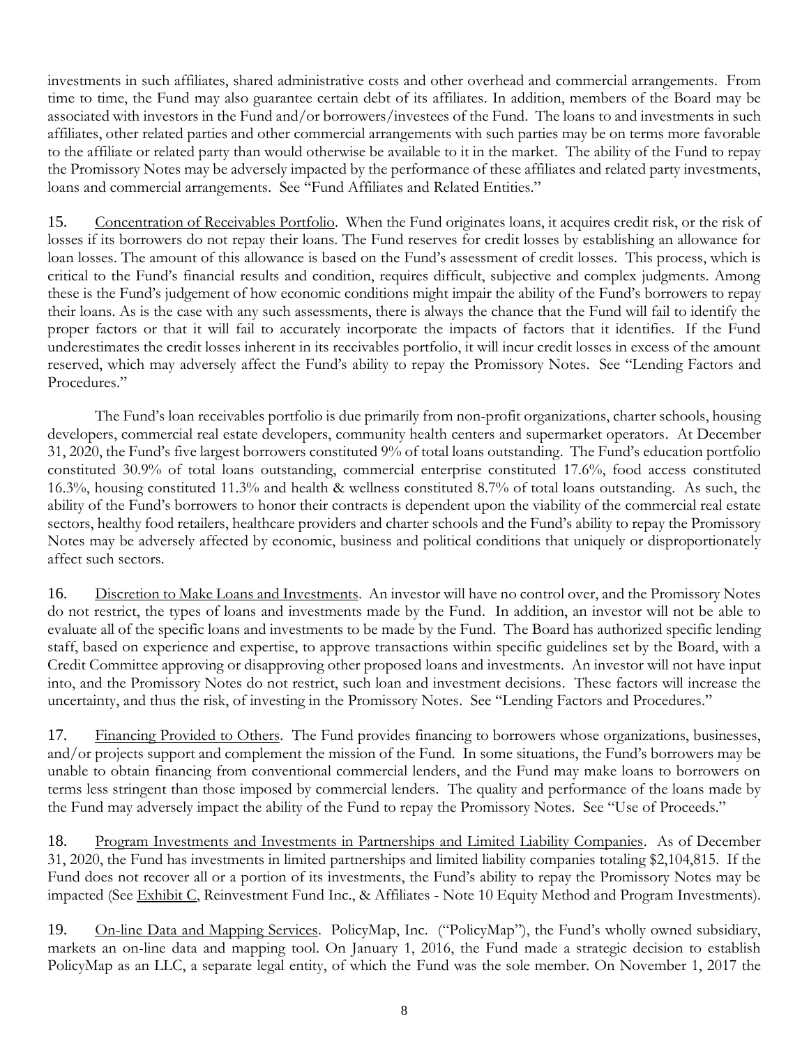investments in such affiliates, shared administrative costs and other overhead and commercial arrangements. From time to time, the Fund may also guarantee certain debt of its affiliates. In addition, members of the Board may be associated with investors in the Fund and/or borrowers/investees of the Fund. The loans to and investments in such affiliates, other related parties and other commercial arrangements with such parties may be on terms more favorable to the affiliate or related party than would otherwise be available to it in the market. The ability of the Fund to repay the Promissory Notes may be adversely impacted by the performance of these affiliates and related party investments, loans and commercial arrangements. See "Fund Affiliates and Related Entities."

15. Concentration of Receivables Portfolio. When the Fund originates loans, it acquires credit risk, or the risk of losses if its borrowers do not repay their loans. The Fund reserves for credit losses by establishing an allowance for loan losses. The amount of this allowance is based on the Fund's assessment of credit losses. This process, which is critical to the Fund's financial results and condition, requires difficult, subjective and complex judgments. Among these is the Fund's judgement of how economic conditions might impair the ability of the Fund's borrowers to repay their loans. As is the case with any such assessments, there is always the chance that the Fund will fail to identify the proper factors or that it will fail to accurately incorporate the impacts of factors that it identifies. If the Fund underestimates the credit losses inherent in its receivables portfolio, it will incur credit losses in excess of the amount reserved, which may adversely affect the Fund's ability to repay the Promissory Notes. See "Lending Factors and Procedures."

The Fund's loan receivables portfolio is due primarily from non-profit organizations, charter schools, housing developers, commercial real estate developers, community health centers and supermarket operators. At December 31, 2020, the Fund's five largest borrowers constituted 9% of total loans outstanding. The Fund's education portfolio constituted 30.9% of total loans outstanding, commercial enterprise constituted 17.6%, food access constituted 16.3%, housing constituted 11.3% and health & wellness constituted 8.7% of total loans outstanding. As such, the ability of the Fund's borrowers to honor their contracts is dependent upon the viability of the commercial real estate sectors, healthy food retailers, healthcare providers and charter schools and the Fund's ability to repay the Promissory Notes may be adversely affected by economic, business and political conditions that uniquely or disproportionately affect such sectors.

16. Discretion to Make Loans and Investments. An investor will have no control over, and the Promissory Notes do not restrict, the types of loans and investments made by the Fund. In addition, an investor will not be able to evaluate all of the specific loans and investments to be made by the Fund. The Board has authorized specific lending staff, based on experience and expertise, to approve transactions within specific guidelines set by the Board, with a Credit Committee approving or disapproving other proposed loans and investments. An investor will not have input into, and the Promissory Notes do not restrict, such loan and investment decisions. These factors will increase the uncertainty, and thus the risk, of investing in the Promissory Notes. See "Lending Factors and Procedures."

17. Financing Provided to Others. The Fund provides financing to borrowers whose organizations, businesses, and/or projects support and complement the mission of the Fund. In some situations, the Fund's borrowers may be unable to obtain financing from conventional commercial lenders, and the Fund may make loans to borrowers on terms less stringent than those imposed by commercial lenders. The quality and performance of the loans made by the Fund may adversely impact the ability of the Fund to repay the Promissory Notes. See "Use of Proceeds."

18. Program Investments and Investments in Partnerships and Limited Liability Companies. As of December 31, 2020, the Fund has investments in limited partnerships and limited liability companies totaling \$2,104,815. If the Fund does not recover all or a portion of its investments, the Fund's ability to repay the Promissory Notes may be impacted (See Exhibit C, Reinvestment Fund Inc., & Affiliates - Note 10 Equity Method and Program Investments).

19. On-line Data and Mapping Services. PolicyMap, Inc. ("PolicyMap"), the Fund's wholly owned subsidiary, markets an on-line data and mapping tool. On January 1, 2016, the Fund made a strategic decision to establish PolicyMap as an LLC, a separate legal entity, of which the Fund was the sole member. On November 1, 2017 the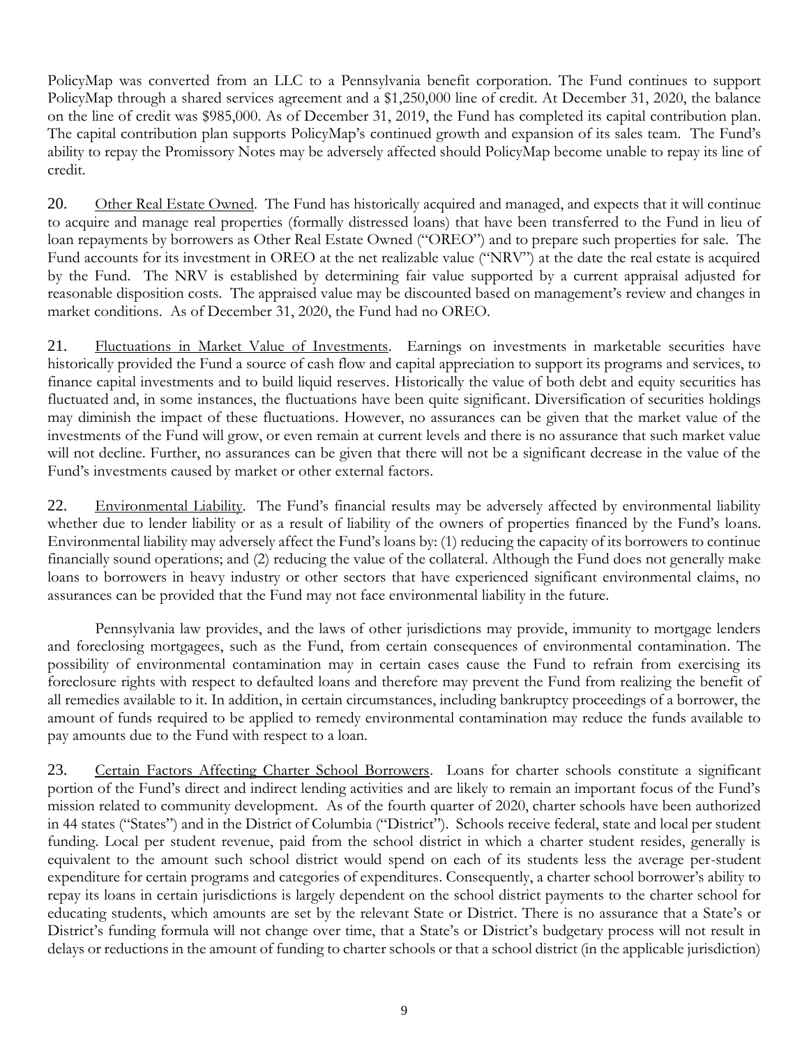PolicyMap was converted from an LLC to a Pennsylvania benefit corporation. The Fund continues to support PolicyMap through a shared services agreement and a \$1,250,000 line of credit. At December 31, 2020, the balance on the line of credit was \$985,000. As of December 31, 2019, the Fund has completed its capital contribution plan. The capital contribution plan supports PolicyMap's continued growth and expansion of its sales team. The Fund's ability to repay the Promissory Notes may be adversely affected should PolicyMap become unable to repay its line of credit.

20. Other Real Estate Owned. The Fund has historically acquired and managed, and expects that it will continue to acquire and manage real properties (formally distressed loans) that have been transferred to the Fund in lieu of loan repayments by borrowers as Other Real Estate Owned ("OREO") and to prepare such properties for sale. The Fund accounts for its investment in OREO at the net realizable value ("NRV") at the date the real estate is acquired by the Fund. The NRV is established by determining fair value supported by a current appraisal adjusted for reasonable disposition costs. The appraised value may be discounted based on management's review and changes in market conditions. As of December 31, 2020, the Fund had no OREO.

21. Fluctuations in Market Value of Investments. Earnings on investments in marketable securities have historically provided the Fund a source of cash flow and capital appreciation to support its programs and services, to finance capital investments and to build liquid reserves. Historically the value of both debt and equity securities has fluctuated and, in some instances, the fluctuations have been quite significant. Diversification of securities holdings may diminish the impact of these fluctuations. However, no assurances can be given that the market value of the investments of the Fund will grow, or even remain at current levels and there is no assurance that such market value will not decline. Further, no assurances can be given that there will not be a significant decrease in the value of the Fund's investments caused by market or other external factors.

22. Environmental Liability. The Fund's financial results may be adversely affected by environmental liability whether due to lender liability or as a result of liability of the owners of properties financed by the Fund's loans. Environmental liability may adversely affect the Fund's loans by: (1) reducing the capacity of its borrowers to continue financially sound operations; and (2) reducing the value of the collateral. Although the Fund does not generally make loans to borrowers in heavy industry or other sectors that have experienced significant environmental claims, no assurances can be provided that the Fund may not face environmental liability in the future.

Pennsylvania law provides, and the laws of other jurisdictions may provide, immunity to mortgage lenders and foreclosing mortgagees, such as the Fund, from certain consequences of environmental contamination. The possibility of environmental contamination may in certain cases cause the Fund to refrain from exercising its foreclosure rights with respect to defaulted loans and therefore may prevent the Fund from realizing the benefit of all remedies available to it. In addition, in certain circumstances, including bankruptcy proceedings of a borrower, the amount of funds required to be applied to remedy environmental contamination may reduce the funds available to pay amounts due to the Fund with respect to a loan.

23. Certain Factors Affecting Charter School Borrowers. Loans for charter schools constitute a significant portion of the Fund's direct and indirect lending activities and are likely to remain an important focus of the Fund's mission related to community development. As of the fourth quarter of 2020, charter schools have been authorized in 44 states ("States") and in the District of Columbia ("District"). Schools receive federal, state and local per student funding. Local per student revenue, paid from the school district in which a charter student resides, generally is equivalent to the amount such school district would spend on each of its students less the average per-student expenditure for certain programs and categories of expenditures. Consequently, a charter school borrower's ability to repay its loans in certain jurisdictions is largely dependent on the school district payments to the charter school for educating students, which amounts are set by the relevant State or District. There is no assurance that a State's or District's funding formula will not change over time, that a State's or District's budgetary process will not result in delays or reductions in the amount of funding to charter schools or that a school district (in the applicable jurisdiction)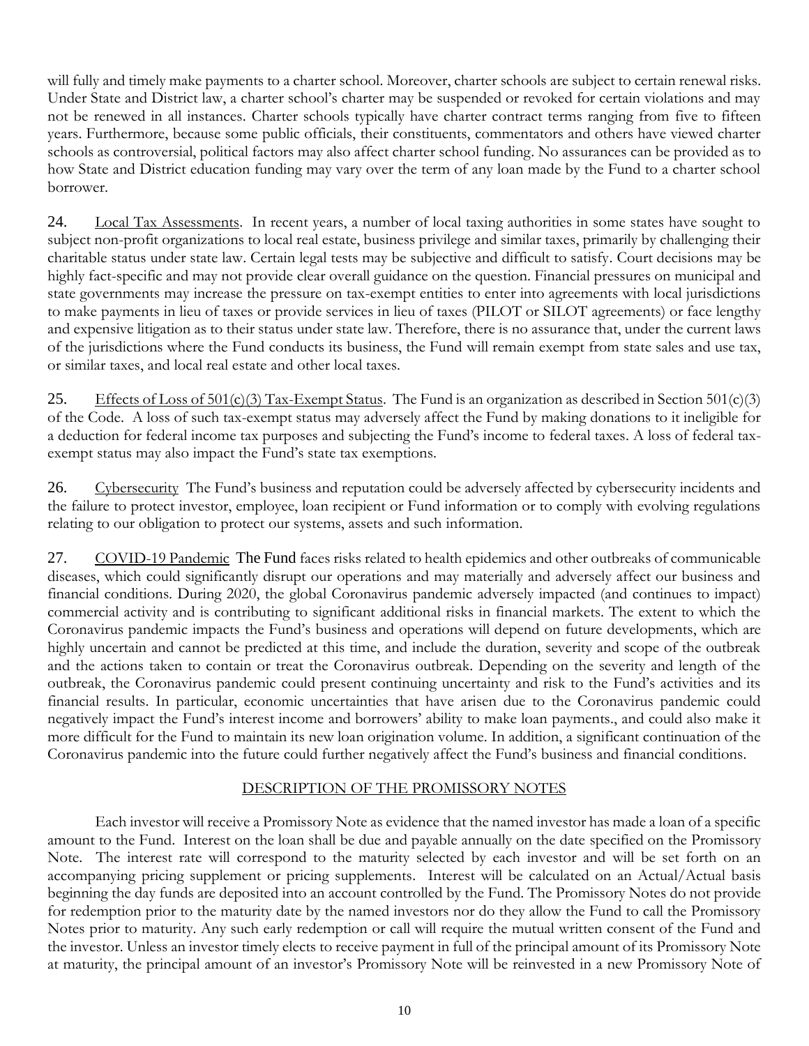will fully and timely make payments to a charter school. Moreover, charter schools are subject to certain renewal risks. Under State and District law, a charter school's charter may be suspended or revoked for certain violations and may not be renewed in all instances. Charter schools typically have charter contract terms ranging from five to fifteen years. Furthermore, because some public officials, their constituents, commentators and others have viewed charter schools as controversial, political factors may also affect charter school funding. No assurances can be provided as to how State and District education funding may vary over the term of any loan made by the Fund to a charter school borrower.

24. Local Tax Assessments. In recent years, a number of local taxing authorities in some states have sought to subject non-profit organizations to local real estate, business privilege and similar taxes, primarily by challenging their charitable status under state law. Certain legal tests may be subjective and difficult to satisfy. Court decisions may be highly fact-specific and may not provide clear overall guidance on the question. Financial pressures on municipal and state governments may increase the pressure on tax-exempt entities to enter into agreements with local jurisdictions to make payments in lieu of taxes or provide services in lieu of taxes (PILOT or SILOT agreements) or face lengthy and expensive litigation as to their status under state law. Therefore, there is no assurance that, under the current laws of the jurisdictions where the Fund conducts its business, the Fund will remain exempt from state sales and use tax, or similar taxes, and local real estate and other local taxes.

25. Effects of Loss of  $501(c)(3)$  Tax-Exempt Status. The Fund is an organization as described in Section  $501(c)(3)$ of the Code. A loss of such tax-exempt status may adversely affect the Fund by making donations to it ineligible for a deduction for federal income tax purposes and subjecting the Fund's income to federal taxes. A loss of federal taxexempt status may also impact the Fund's state tax exemptions.

26. Cybersecurity The Fund's business and reputation could be adversely affected by cybersecurity incidents and the failure to protect investor, employee, loan recipient or Fund information or to comply with evolving regulations relating to our obligation to protect our systems, assets and such information.

27. COVID-19 Pandemic The Fund faces risks related to health epidemics and other outbreaks of communicable diseases, which could significantly disrupt our operations and may materially and adversely affect our business and financial conditions. During 2020, the global Coronavirus pandemic adversely impacted (and continues to impact) commercial activity and is contributing to significant additional risks in financial markets. The extent to which the Coronavirus pandemic impacts the Fund's business and operations will depend on future developments, which are highly uncertain and cannot be predicted at this time, and include the duration, severity and scope of the outbreak and the actions taken to contain or treat the Coronavirus outbreak. Depending on the severity and length of the outbreak, the Coronavirus pandemic could present continuing uncertainty and risk to the Fund's activities and its financial results. In particular, economic uncertainties that have arisen due to the Coronavirus pandemic could negatively impact the Fund's interest income and borrowers' ability to make loan payments., and could also make it more difficult for the Fund to maintain its new loan origination volume. In addition, a significant continuation of the Coronavirus pandemic into the future could further negatively affect the Fund's business and financial conditions.

# DESCRIPTION OF THE PROMISSORY NOTES

<span id="page-14-0"></span>Each investor will receive a Promissory Note as evidence that the named investor has made a loan of a specific amount to the Fund. Interest on the loan shall be due and payable annually on the date specified on the Promissory Note. The interest rate will correspond to the maturity selected by each investor and will be set forth on an accompanying pricing supplement or pricing supplements. Interest will be calculated on an Actual/Actual basis beginning the day funds are deposited into an account controlled by the Fund. The Promissory Notes do not provide for redemption prior to the maturity date by the named investors nor do they allow the Fund to call the Promissory Notes prior to maturity. Any such early redemption or call will require the mutual written consent of the Fund and the investor. Unless an investor timely elects to receive payment in full of the principal amount of its Promissory Note at maturity, the principal amount of an investor's Promissory Note will be reinvested in a new Promissory Note of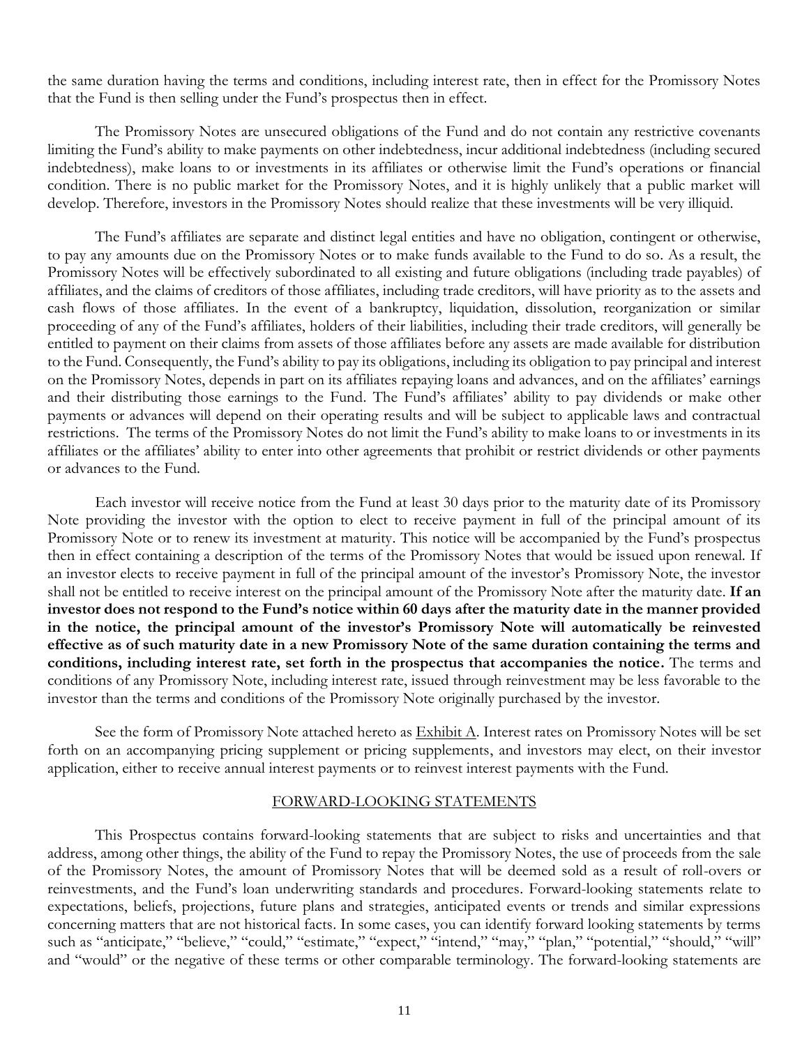the same duration having the terms and conditions, including interest rate, then in effect for the Promissory Notes that the Fund is then selling under the Fund's prospectus then in effect.

The Promissory Notes are unsecured obligations of the Fund and do not contain any restrictive covenants limiting the Fund's ability to make payments on other indebtedness, incur additional indebtedness (including secured indebtedness), make loans to or investments in its affiliates or otherwise limit the Fund's operations or financial condition. There is no public market for the Promissory Notes, and it is highly unlikely that a public market will develop. Therefore, investors in the Promissory Notes should realize that these investments will be very illiquid.

The Fund's affiliates are separate and distinct legal entities and have no obligation, contingent or otherwise, to pay any amounts due on the Promissory Notes or to make funds available to the Fund to do so. As a result, the Promissory Notes will be effectively subordinated to all existing and future obligations (including trade payables) of affiliates, and the claims of creditors of those affiliates, including trade creditors, will have priority as to the assets and cash flows of those affiliates. In the event of a bankruptcy, liquidation, dissolution, reorganization or similar proceeding of any of the Fund's affiliates, holders of their liabilities, including their trade creditors, will generally be entitled to payment on their claims from assets of those affiliates before any assets are made available for distribution to the Fund. Consequently, the Fund's ability to pay its obligations, including its obligation to pay principal and interest on the Promissory Notes, depends in part on its affiliates repaying loans and advances, and on the affiliates' earnings and their distributing those earnings to the Fund. The Fund's affiliates' ability to pay dividends or make other payments or advances will depend on their operating results and will be subject to applicable laws and contractual restrictions. The terms of the Promissory Notes do not limit the Fund's ability to make loans to or investments in its affiliates or the affiliates' ability to enter into other agreements that prohibit or restrict dividends or other payments or advances to the Fund.

Each investor will receive notice from the Fund at least 30 days prior to the maturity date of its Promissory Note providing the investor with the option to elect to receive payment in full of the principal amount of its Promissory Note or to renew its investment at maturity. This notice will be accompanied by the Fund's prospectus then in effect containing a description of the terms of the Promissory Notes that would be issued upon renewal. If an investor elects to receive payment in full of the principal amount of the investor's Promissory Note, the investor shall not be entitled to receive interest on the principal amount of the Promissory Note after the maturity date. **If an investor does not respond to the Fund's notice within 60 days after the maturity date in the manner provided in the notice, the principal amount of the investor's Promissory Note will automatically be reinvested effective as of such maturity date in a new Promissory Note of the same duration containing the terms and conditions, including interest rate, set forth in the prospectus that accompanies the notice.** The terms and conditions of any Promissory Note, including interest rate, issued through reinvestment may be less favorable to the investor than the terms and conditions of the Promissory Note originally purchased by the investor.

See the form of Promissory Note attached hereto as  $\frac{Exhibit A}{.}$  Interest rates on Promissory Notes will be set forth on an accompanying pricing supplement or pricing supplements, and investors may elect, on their investor application, either to receive annual interest payments or to reinvest interest payments with the Fund.

#### FORWARD-LOOKING STATEMENTS

<span id="page-15-0"></span>This Prospectus contains forward-looking statements that are subject to risks and uncertainties and that address, among other things, the ability of the Fund to repay the Promissory Notes, the use of proceeds from the sale of the Promissory Notes, the amount of Promissory Notes that will be deemed sold as a result of roll-overs or reinvestments, and the Fund's loan underwriting standards and procedures. Forward-looking statements relate to expectations, beliefs, projections, future plans and strategies, anticipated events or trends and similar expressions concerning matters that are not historical facts. In some cases, you can identify forward looking statements by terms such as "anticipate," "believe," "could," "estimate," "expect," "intend," "may," "plan," "potential," "should," "will" and "would" or the negative of these terms or other comparable terminology. The forward-looking statements are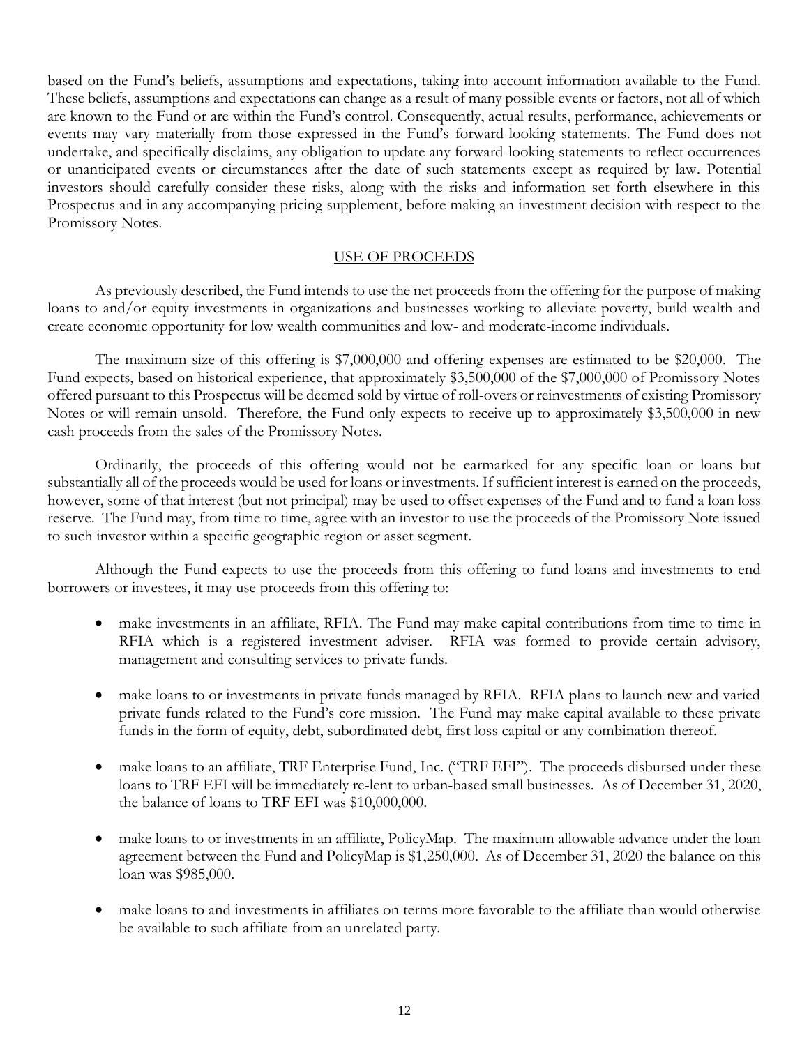based on the Fund's beliefs, assumptions and expectations, taking into account information available to the Fund. These beliefs, assumptions and expectations can change as a result of many possible events or factors, not all of which are known to the Fund or are within the Fund's control. Consequently, actual results, performance, achievements or events may vary materially from those expressed in the Fund's forward-looking statements. The Fund does not undertake, and specifically disclaims, any obligation to update any forward-looking statements to reflect occurrences or unanticipated events or circumstances after the date of such statements except as required by law. Potential investors should carefully consider these risks, along with the risks and information set forth elsewhere in this Prospectus and in any accompanying pricing supplement, before making an investment decision with respect to the Promissory Notes.

## USE OF PROCEEDS

<span id="page-16-0"></span>As previously described, the Fund intends to use the net proceeds from the offering for the purpose of making loans to and/or equity investments in organizations and businesses working to alleviate poverty, build wealth and create economic opportunity for low wealth communities and low- and moderate-income individuals.

The maximum size of this offering is \$7,000,000 and offering expenses are estimated to be \$20,000. The Fund expects, based on historical experience, that approximately \$3,500,000 of the \$7,000,000 of Promissory Notes offered pursuant to this Prospectus will be deemed sold by virtue of roll-overs or reinvestments of existing Promissory Notes or will remain unsold. Therefore, the Fund only expects to receive up to approximately \$3,500,000 in new cash proceeds from the sales of the Promissory Notes.

Ordinarily, the proceeds of this offering would not be earmarked for any specific loan or loans but substantially all of the proceeds would be used for loans or investments. If sufficient interest is earned on the proceeds, however, some of that interest (but not principal) may be used to offset expenses of the Fund and to fund a loan loss reserve. The Fund may, from time to time, agree with an investor to use the proceeds of the Promissory Note issued to such investor within a specific geographic region or asset segment.

Although the Fund expects to use the proceeds from this offering to fund loans and investments to end borrowers or investees, it may use proceeds from this offering to:

- make investments in an affiliate, RFIA. The Fund may make capital contributions from time to time in RFIA which is a registered investment adviser. RFIA was formed to provide certain advisory, management and consulting services to private funds.
- make loans to or investments in private funds managed by RFIA. RFIA plans to launch new and varied private funds related to the Fund's core mission. The Fund may make capital available to these private funds in the form of equity, debt, subordinated debt, first loss capital or any combination thereof.
- make loans to an affiliate, TRF Enterprise Fund, Inc. ("TRF EFI"). The proceeds disbursed under these loans to TRF EFI will be immediately re-lent to urban-based small businesses. As of December 31, 2020, the balance of loans to TRF EFI was \$10,000,000.
- make loans to or investments in an affiliate, PolicyMap. The maximum allowable advance under the loan agreement between the Fund and PolicyMap is \$1,250,000. As of December 31, 2020 the balance on this loan was \$985,000.
- make loans to and investments in affiliates on terms more favorable to the affiliate than would otherwise be available to such affiliate from an unrelated party.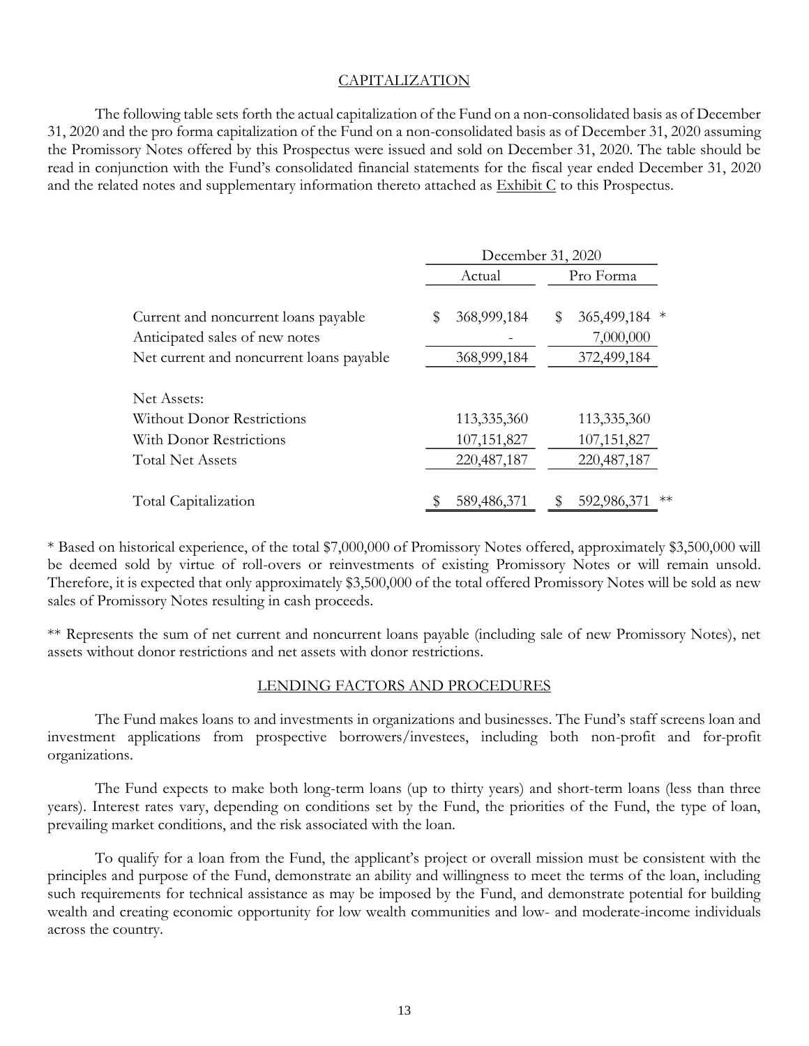# CAPITALIZATION

<span id="page-17-0"></span>The following table sets forth the actual capitalization of the Fund on a non-consolidated basis as of December 31, 2020 and the pro forma capitalization of the Fund on a non-consolidated basis as of December 31, 2020 assuming the Promissory Notes offered by this Prospectus were issued and sold on December 31, 2020. The table should be read in conjunction with the Fund's consolidated financial statements for the fiscal year ended December 31, 2020 and the related notes and supplementary information thereto attached as Exhibit C to this Prospectus.

|                                                                        | December 31, 2020 |                                |
|------------------------------------------------------------------------|-------------------|--------------------------------|
|                                                                        | Actual            | Pro Forma                      |
| Current and noncurrent loans payable<br>Anticipated sales of new notes | 368,999,184<br>\$ | 365,499,184<br>\$<br>7,000,000 |
| Net current and noncurrent loans payable                               | 368,999,184       | 372,499,184                    |
| Net Assets:                                                            |                   |                                |
| <b>Without Donor Restrictions</b>                                      | 113,335,360       | 113,335,360                    |
| With Donor Restrictions                                                | 107, 151, 827     | 107, 151, 827                  |
| <b>Total Net Assets</b>                                                | 220, 487, 187     | 220, 487, 187                  |
| Total Capitalization                                                   | 589,486,371       | $**$<br>592,986,372            |

\* Based on historical experience, of the total \$7,000,000 of Promissory Notes offered, approximately \$3,500,000 will be deemed sold by virtue of roll-overs or reinvestments of existing Promissory Notes or will remain unsold. Therefore, it is expected that only approximately \$3,500,000 of the total offered Promissory Notes will be sold as new sales of Promissory Notes resulting in cash proceeds.

\*\* Represents the sum of net current and noncurrent loans payable (including sale of new Promissory Notes), net assets without donor restrictions and net assets with donor restrictions.

# LENDING FACTORS AND PROCEDURES

<span id="page-17-1"></span>The Fund makes loans to and investments in organizations and businesses. The Fund's staff screens loan and investment applications from prospective borrowers/investees, including both non-profit and for-profit organizations.

The Fund expects to make both long-term loans (up to thirty years) and short-term loans (less than three years). Interest rates vary, depending on conditions set by the Fund, the priorities of the Fund, the type of loan, prevailing market conditions, and the risk associated with the loan.

To qualify for a loan from the Fund, the applicant's project or overall mission must be consistent with the principles and purpose of the Fund, demonstrate an ability and willingness to meet the terms of the loan, including such requirements for technical assistance as may be imposed by the Fund, and demonstrate potential for building wealth and creating economic opportunity for low wealth communities and low- and moderate-income individuals across the country.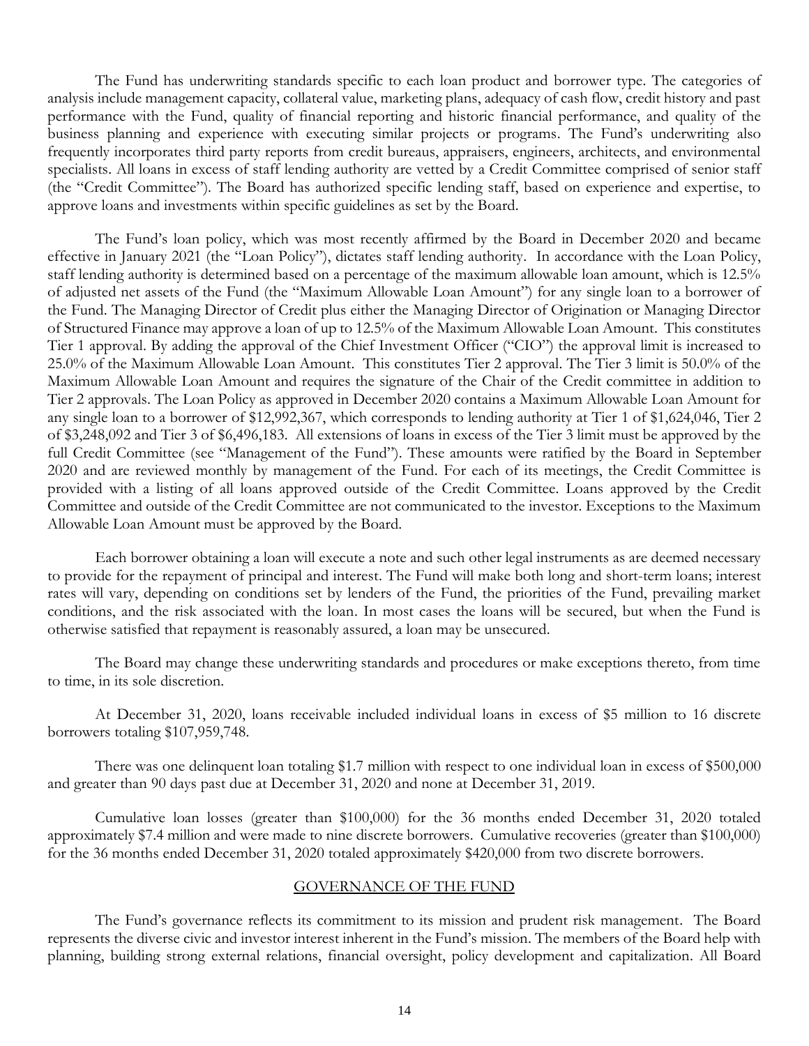The Fund has underwriting standards specific to each loan product and borrower type. The categories of analysis include management capacity, collateral value, marketing plans, adequacy of cash flow, credit history and past performance with the Fund, quality of financial reporting and historic financial performance, and quality of the business planning and experience with executing similar projects or programs. The Fund's underwriting also frequently incorporates third party reports from credit bureaus, appraisers, engineers, architects, and environmental specialists. All loans in excess of staff lending authority are vetted by a Credit Committee comprised of senior staff (the "Credit Committee"). The Board has authorized specific lending staff, based on experience and expertise, to approve loans and investments within specific guidelines as set by the Board.

The Fund's loan policy, which was most recently affirmed by the Board in December 2020 and became effective in January 2021 (the "Loan Policy"), dictates staff lending authority. In accordance with the Loan Policy, staff lending authority is determined based on a percentage of the maximum allowable loan amount, which is 12.5% of adjusted net assets of the Fund (the "Maximum Allowable Loan Amount") for any single loan to a borrower of the Fund. The Managing Director of Credit plus either the Managing Director of Origination or Managing Director of Structured Finance may approve a loan of up to 12.5% of the Maximum Allowable Loan Amount. This constitutes Tier 1 approval. By adding the approval of the Chief Investment Officer ("CIO") the approval limit is increased to 25.0% of the Maximum Allowable Loan Amount. This constitutes Tier 2 approval. The Tier 3 limit is 50.0% of the Maximum Allowable Loan Amount and requires the signature of the Chair of the Credit committee in addition to Tier 2 approvals. The Loan Policy as approved in December 2020 contains a Maximum Allowable Loan Amount for any single loan to a borrower of \$12,992,367, which corresponds to lending authority at Tier 1 of \$1,624,046, Tier 2 of \$3,248,092 and Tier 3 of \$6,496,183. All extensions of loans in excess of the Tier 3 limit must be approved by the full Credit Committee (see "Management of the Fund"). These amounts were ratified by the Board in September 2020 and are reviewed monthly by management of the Fund. For each of its meetings, the Credit Committee is provided with a listing of all loans approved outside of the Credit Committee. Loans approved by the Credit Committee and outside of the Credit Committee are not communicated to the investor. Exceptions to the Maximum Allowable Loan Amount must be approved by the Board.

Each borrower obtaining a loan will execute a note and such other legal instruments as are deemed necessary to provide for the repayment of principal and interest. The Fund will make both long and short-term loans; interest rates will vary, depending on conditions set by lenders of the Fund, the priorities of the Fund, prevailing market conditions, and the risk associated with the loan. In most cases the loans will be secured, but when the Fund is otherwise satisfied that repayment is reasonably assured, a loan may be unsecured.

The Board may change these underwriting standards and procedures or make exceptions thereto, from time to time, in its sole discretion.

At December 31, 2020, loans receivable included individual loans in excess of \$5 million to 16 discrete borrowers totaling \$107,959,748.

There was one delinquent loan totaling \$1.7 million with respect to one individual loan in excess of \$500,000 and greater than 90 days past due at December 31, 2020 and none at December 31, 2019.

Cumulative loan losses (greater than \$100,000) for the 36 months ended December 31, 2020 totaled approximately \$7.4 million and were made to nine discrete borrowers. Cumulative recoveries (greater than \$100,000) for the 36 months ended December 31, 2020 totaled approximately \$420,000 from two discrete borrowers.

## GOVERNANCE OF THE FUND

<span id="page-18-0"></span>The Fund's governance reflects its commitment to its mission and prudent risk management. The Board represents the diverse civic and investor interest inherent in the Fund's mission. The members of the Board help with planning, building strong external relations, financial oversight, policy development and capitalization. All Board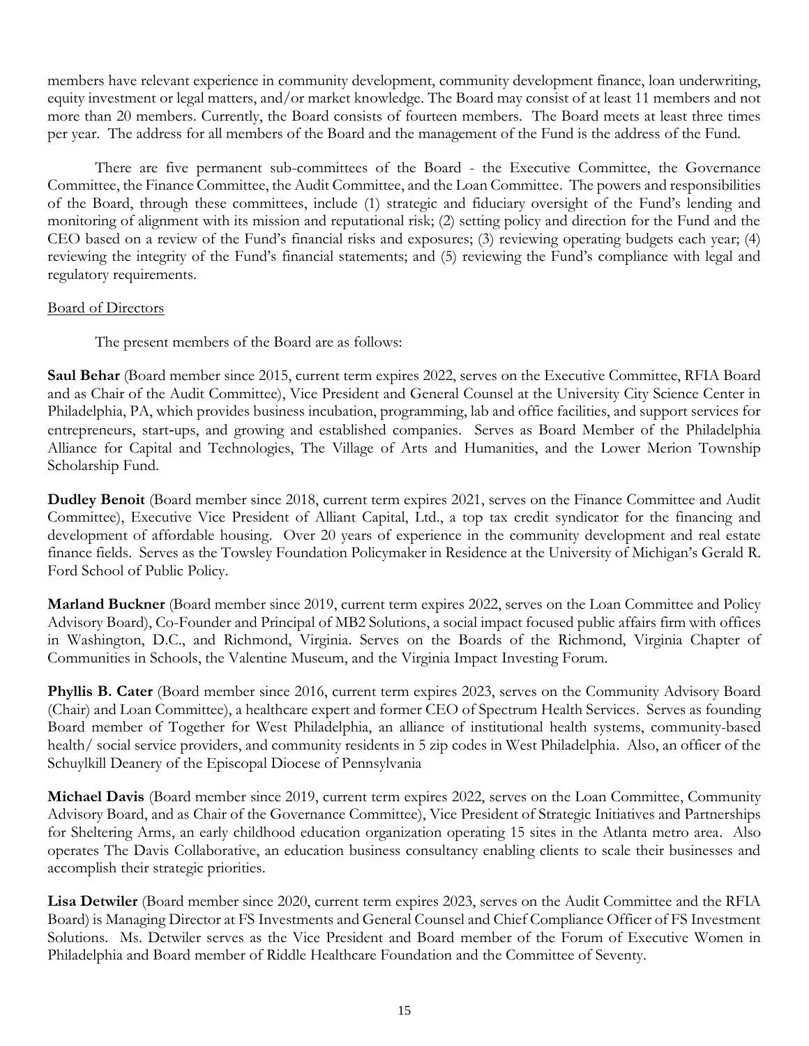members have relevant experience in community development, community development finance, loan underwriting, equity investment or legal matters, and/or market knowledge. The Board may consist of at least 11 members and not more than 20 members. Currently, the Board consists of fourteen members. The Board meets at least three times per year. The address for all members of the Board and the management of the Fund is the address of the Fund.

There are five permanent sub-committees of the Board - the Executive Committee, the Governance Committee, the Finance Committee, the Audit Committee, and the Loan Committee. The powers and responsibilities of the Board, through these committees, include (1) strategic and fiduciary oversight of the Fund's lending and monitoring of alignment with its mission and reputational risk; (2) setting policy and direction for the Fund and the CEO based on a review of the Fund's financial risks and exposures; (3) reviewing operating budgets each year; (4) reviewing the integrity of the Fund's financial statements; and (5) reviewing the Fund's compliance with legal and regulatory requirements.

# Board of Directors

The present members of the Board are as follows:

**Saul Behar** (Board member since 2015, current term expires 2022, serves on the Executive Committee, RFIA Board and as Chair of the Audit Committee), Vice President and General Counsel at the University City Science Center in Philadelphia, PA, which provides business incubation, programming, lab and office facilities, and support services for entrepreneurs, start-ups, and growing and established companies. Serves as Board Member of the Philadelphia Alliance for Capital and Technologies, The Village of Arts and Humanities, and the Lower Merion Township Scholarship Fund.

**Dudley Benoit** (Board member since 2018, current term expires 2021, serves on the Finance Committee and Audit Committee), Executive Vice President of Alliant Capital, Ltd., a top tax credit syndicator for the financing and development of affordable housing. Over 20 years of experience in the community development and real estate finance fields. Serves as the Towsley Foundation Policymaker in Residence at the University of Michigan's Gerald R. Ford School of Public Policy.

**Marland Buckner** (Board member since 2019, current term expires 2022, serves on the Loan Committee and Policy Advisory Board), Co-Founder and Principal of MB2 Solutions, a social impact focused public affairs firm with offices in Washington, D.C., and Richmond, Virginia. Serves on the Boards of the Richmond, Virginia Chapter of Communities in Schools, the Valentine Museum, and the Virginia Impact Investing Forum.

**Phyllis B. Cater** (Board member since 2016, current term expires 2023, serves on the Community Advisory Board (Chair) and Loan Committee), a healthcare expert and former CEO of Spectrum Health Services. Serves as founding Board member of Together for West Philadelphia, an alliance of institutional health systems, community-based health/ social service providers, and community residents in 5 zip codes in West Philadelphia. Also, an officer of the Schuylkill Deanery of the Episcopal Diocese of Pennsylvania

**Michael Davis** (Board member since 2019, current term expires 2022, serves on the Loan Committee, Community Advisory Board, and as Chair of the Governance Committee), Vice President of Strategic Initiatives and Partnerships for Sheltering Arms, an early childhood education organization operating 15 sites in the Atlanta metro area. Also operates The Davis Collaborative, an education business consultancy enabling clients to scale their businesses and accomplish their strategic priorities.

**Lisa Detwiler** (Board member since 2020, current term expires 2023, serves on the Audit Committee and the RFIA Board) is Managing Director at FS Investments and General Counsel and Chief Compliance Officer of FS Investment Solutions. Ms. Detwiler serves as the Vice President and Board member of the Forum of Executive Women in Philadelphia and Board member of Riddle Healthcare Foundation and the Committee of Seventy.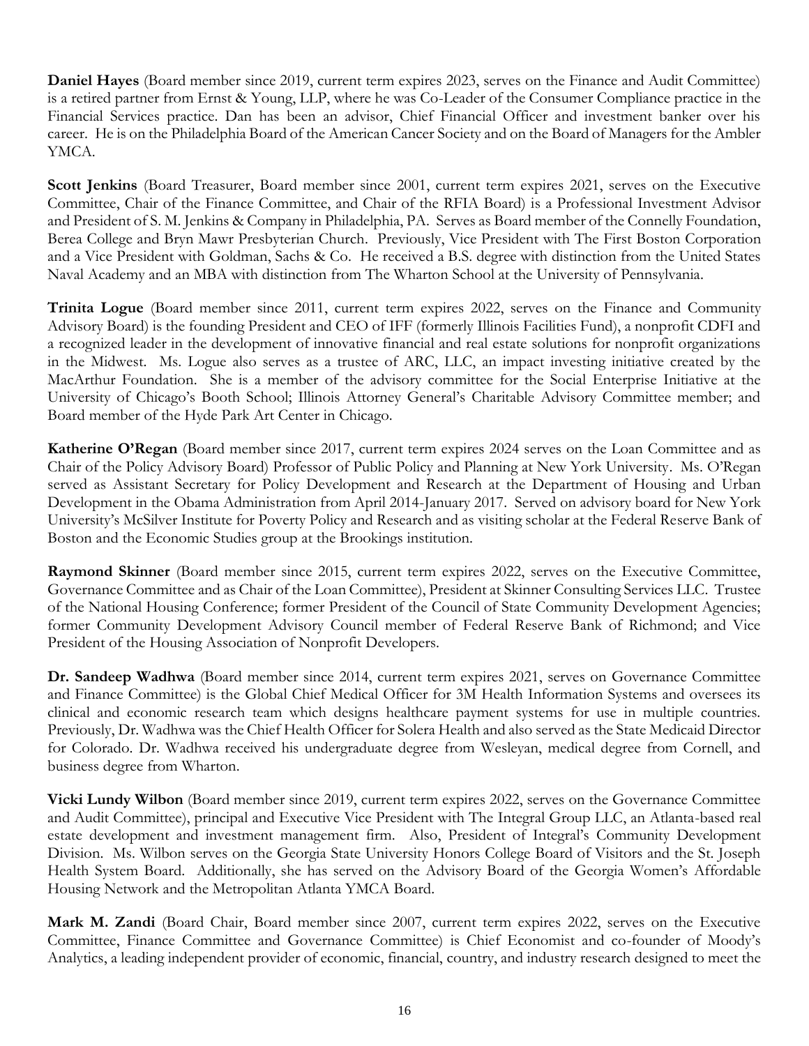**Daniel Hayes** (Board member since 2019, current term expires 2023, serves on the Finance and Audit Committee) is a retired partner from Ernst & Young, LLP, where he was Co-Leader of the Consumer Compliance practice in the Financial Services practice. Dan has been an advisor, Chief Financial Officer and investment banker over his career. He is on the Philadelphia Board of the American Cancer Society and on the Board of Managers for the Ambler YMCA.

**Scott Jenkins** (Board Treasurer, Board member since 2001, current term expires 2021, serves on the Executive Committee, Chair of the Finance Committee, and Chair of the RFIA Board) is a Professional Investment Advisor and President of S. M. Jenkins & Company in Philadelphia, PA. Serves as Board member of the Connelly Foundation, Berea College and Bryn Mawr Presbyterian Church. Previously, Vice President with The First Boston Corporation and a Vice President with Goldman, Sachs & Co. He received a B.S. degree with distinction from the United States Naval Academy and an MBA with distinction from The Wharton School at the University of Pennsylvania.

**Trinita Logue** (Board member since 2011, current term expires 2022, serves on the Finance and Community Advisory Board) is the founding President and CEO of IFF (formerly Illinois Facilities Fund), a nonprofit CDFI and a recognized leader in the development of innovative financial and real estate solutions for nonprofit organizations in the Midwest. Ms. Logue also serves as a trustee of ARC, LLC, an impact investing initiative created by the MacArthur Foundation. She is a member of the advisory committee for the Social Enterprise Initiative at the University of Chicago's Booth School; Illinois Attorney General's Charitable Advisory Committee member; and Board member of the Hyde Park Art Center in Chicago.

**Katherine O'Regan** (Board member since 2017, current term expires 2024 serves on the Loan Committee and as Chair of the Policy Advisory Board) Professor of Public Policy and Planning at New York University. Ms. O'Regan served as Assistant Secretary for Policy Development and Research at the Department of Housing and Urban Development in the Obama Administration from April 2014-January 2017. Served on advisory board for New York University's McSilver Institute for Poverty Policy and Research and as visiting scholar at the Federal Reserve Bank of Boston and the Economic Studies group at the Brookings institution.

**Raymond Skinner** (Board member since 2015, current term expires 2022, serves on the Executive Committee, Governance Committee and as Chair of the Loan Committee), President at Skinner Consulting Services LLC. Trustee of the National Housing Conference; former President of the Council of State Community Development Agencies; former Community Development Advisory Council member of Federal Reserve Bank of Richmond; and Vice President of the Housing Association of Nonprofit Developers.

**Dr. Sandeep Wadhwa** (Board member since 2014, current term expires 2021, serves on Governance Committee and Finance Committee) is the Global Chief Medical Officer for 3M Health Information Systems and oversees its clinical and economic research team which designs healthcare payment systems for use in multiple countries. Previously, Dr. Wadhwa was the Chief Health Officer for Solera Health and also served as the State Medicaid Director for Colorado. Dr. Wadhwa received his undergraduate degree from Wesleyan, medical degree from Cornell, and business degree from Wharton.

**Vicki Lundy Wilbon** (Board member since 2019, current term expires 2022, serves on the Governance Committee and Audit Committee), principal and Executive Vice President with The Integral Group LLC, an Atlanta-based real estate development and investment management firm. Also, President of Integral's Community Development Division. Ms. Wilbon serves on the Georgia State University Honors College Board of Visitors and the St. Joseph Health System Board. Additionally, she has served on the Advisory Board of the Georgia Women's Affordable Housing Network and the Metropolitan Atlanta YMCA Board.

**Mark M. Zandi** (Board Chair, Board member since 2007, current term expires 2022, serves on the Executive Committee, Finance Committee and Governance Committee) is Chief Economist and co-founder of Moody's Analytics, a leading independent provider of economic, financial, country, and industry research designed to meet the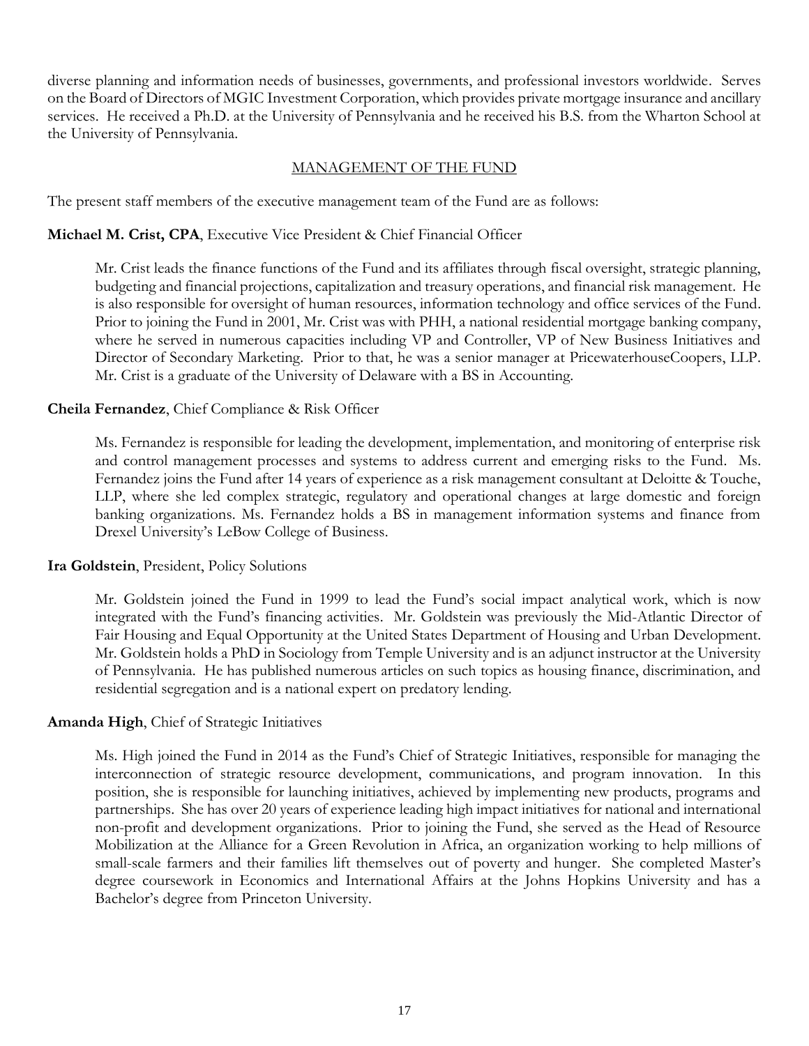diverse planning and information needs of businesses, governments, and professional investors worldwide. Serves on the Board of Directors of MGIC Investment Corporation, which provides private mortgage insurance and ancillary services. He received a Ph.D. at the University of Pennsylvania and he received his B.S. from the Wharton School at the University of Pennsylvania.

# MANAGEMENT OF THE FUND

<span id="page-21-0"></span>The present staff members of the executive management team of the Fund are as follows:

# **Michael M. Crist, CPA**, Executive Vice President & Chief Financial Officer

Mr. Crist leads the finance functions of the Fund and its affiliates through fiscal oversight, strategic planning, budgeting and financial projections, capitalization and treasury operations, and financial risk management. He is also responsible for oversight of human resources, information technology and office services of the Fund. Prior to joining the Fund in 2001, Mr. Crist was with PHH, a national residential mortgage banking company, where he served in numerous capacities including VP and Controller, VP of New Business Initiatives and Director of Secondary Marketing. Prior to that, he was a senior manager at PricewaterhouseCoopers, LLP. Mr. Crist is a graduate of the University of Delaware with a BS in Accounting.

# **Cheila Fernandez**, Chief Compliance & Risk Officer

Ms. Fernandez is responsible for leading the development, implementation, and monitoring of enterprise risk and control management processes and systems to address current and emerging risks to the Fund. Ms. Fernandez joins the Fund after 14 years of experience as a risk management consultant at Deloitte & Touche, LLP, where she led complex strategic, regulatory and operational changes at large domestic and foreign banking organizations. Ms. Fernandez holds a BS in management information systems and finance from Drexel University's LeBow College of Business.

# **Ira Goldstein**, President, Policy Solutions

Mr. Goldstein joined the Fund in 1999 to lead the Fund's social impact analytical work, which is now integrated with the Fund's financing activities. Mr. Goldstein was previously the Mid-Atlantic Director of Fair Housing and Equal Opportunity at the United States Department of Housing and Urban Development. Mr. Goldstein holds a PhD in Sociology from Temple University and is an adjunct instructor at the University of Pennsylvania. He has published numerous articles on such topics as housing finance, discrimination, and residential segregation and is a national expert on predatory lending.

# **Amanda High**, Chief of Strategic Initiatives

Ms. High joined the Fund in 2014 as the Fund's Chief of Strategic Initiatives, responsible for managing the interconnection of strategic resource development, communications, and program innovation. In this position, she is responsible for launching initiatives, achieved by implementing new products, programs and partnerships. She has over 20 years of experience leading high impact initiatives for national and international non-profit and development organizations. Prior to joining the Fund, she served as the Head of Resource Mobilization at the Alliance for a Green Revolution in Africa, an organization working to help millions of small-scale farmers and their families lift themselves out of poverty and hunger. She completed Master's degree coursework in Economics and International Affairs at the Johns Hopkins University and has a Bachelor's degree from Princeton University.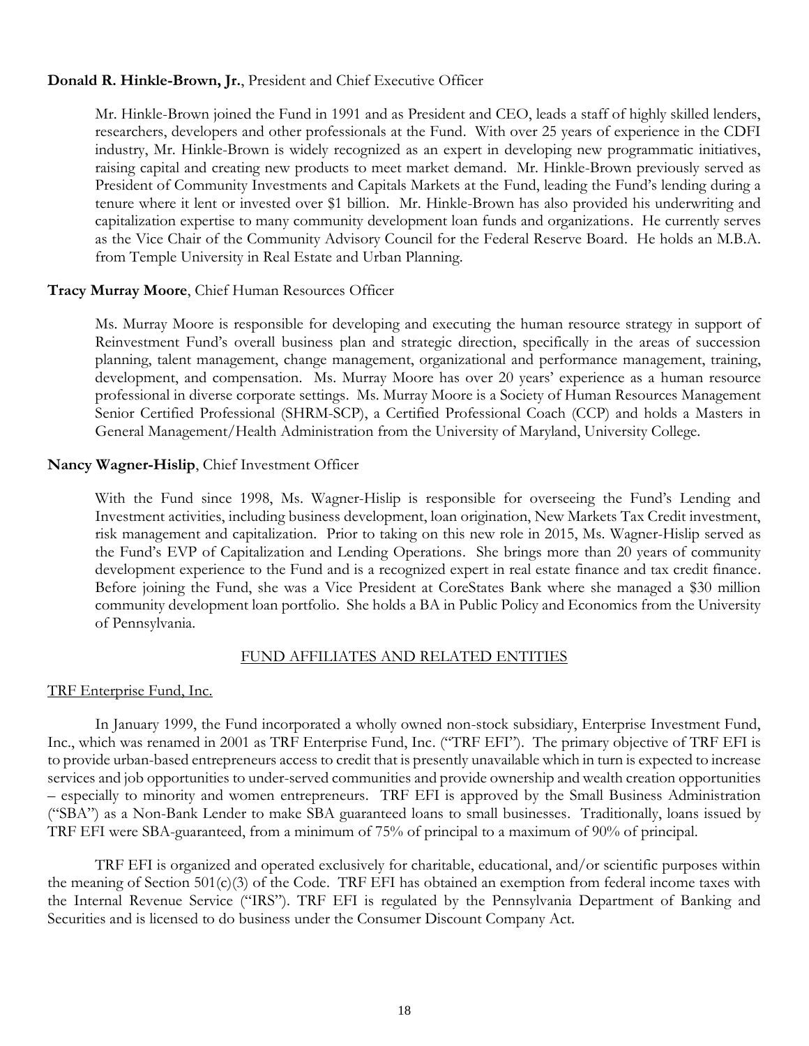# **Donald R. Hinkle-Brown, Jr.**, President and Chief Executive Officer

Mr. Hinkle-Brown joined the Fund in 1991 and as President and CEO, leads a staff of highly skilled lenders, researchers, developers and other professionals at the Fund. With over 25 years of experience in the CDFI industry, Mr. Hinkle-Brown is widely recognized as an expert in developing new programmatic initiatives, raising capital and creating new products to meet market demand. Mr. Hinkle-Brown previously served as President of Community Investments and Capitals Markets at the Fund, leading the Fund's lending during a tenure where it lent or invested over \$1 billion. Mr. Hinkle-Brown has also provided his underwriting and capitalization expertise to many community development loan funds and organizations. He currently serves as the Vice Chair of the Community Advisory Council for the Federal Reserve Board. He holds an M.B.A. from Temple University in Real Estate and Urban Planning.

# **Tracy Murray Moore**, Chief Human Resources Officer

Ms. Murray Moore is responsible for developing and executing the human resource strategy in support of Reinvestment Fund's overall business plan and strategic direction, specifically in the areas of succession planning, talent management, change management, organizational and performance management, training, development, and compensation. Ms. Murray Moore has over 20 years' experience as a human resource professional in diverse corporate settings. Ms. Murray Moore is a Society of Human Resources Management Senior Certified Professional (SHRM-SCP), a Certified Professional Coach (CCP) and holds a Masters in General Management/Health Administration from the University of Maryland, University College.

# **Nancy Wagner-Hislip**, Chief Investment Officer

With the Fund since 1998, Ms. Wagner-Hislip is responsible for overseeing the Fund's Lending and Investment activities, including business development, loan origination, New Markets Tax Credit investment, risk management and capitalization. Prior to taking on this new role in 2015, Ms. Wagner-Hislip served as the Fund's EVP of Capitalization and Lending Operations. She brings more than 20 years of community development experience to the Fund and is a recognized expert in real estate finance and tax credit finance. Before joining the Fund, she was a Vice President at CoreStates Bank where she managed a \$30 million community development loan portfolio. She holds a BA in Public Policy and Economics from the University of Pennsylvania.

# FUND AFFILIATES AND RELATED ENTITIES

# <span id="page-22-0"></span>TRF Enterprise Fund, Inc.

In January 1999, the Fund incorporated a wholly owned non-stock subsidiary, Enterprise Investment Fund, Inc., which was renamed in 2001 as TRF Enterprise Fund, Inc. ("TRF EFI"). The primary objective of TRF EFI is to provide urban-based entrepreneurs access to credit that is presently unavailable which in turn is expected to increase services and job opportunities to under-served communities and provide ownership and wealth creation opportunities – especially to minority and women entrepreneurs. TRF EFI is approved by the Small Business Administration ("SBA") as a Non-Bank Lender to make SBA guaranteed loans to small businesses. Traditionally, loans issued by TRF EFI were SBA-guaranteed, from a minimum of 75% of principal to a maximum of 90% of principal.

TRF EFI is organized and operated exclusively for charitable, educational, and/or scientific purposes within the meaning of Section 501(c)(3) of the Code. TRF EFI has obtained an exemption from federal income taxes with the Internal Revenue Service ("IRS"). TRF EFI is regulated by the Pennsylvania Department of Banking and Securities and is licensed to do business under the Consumer Discount Company Act.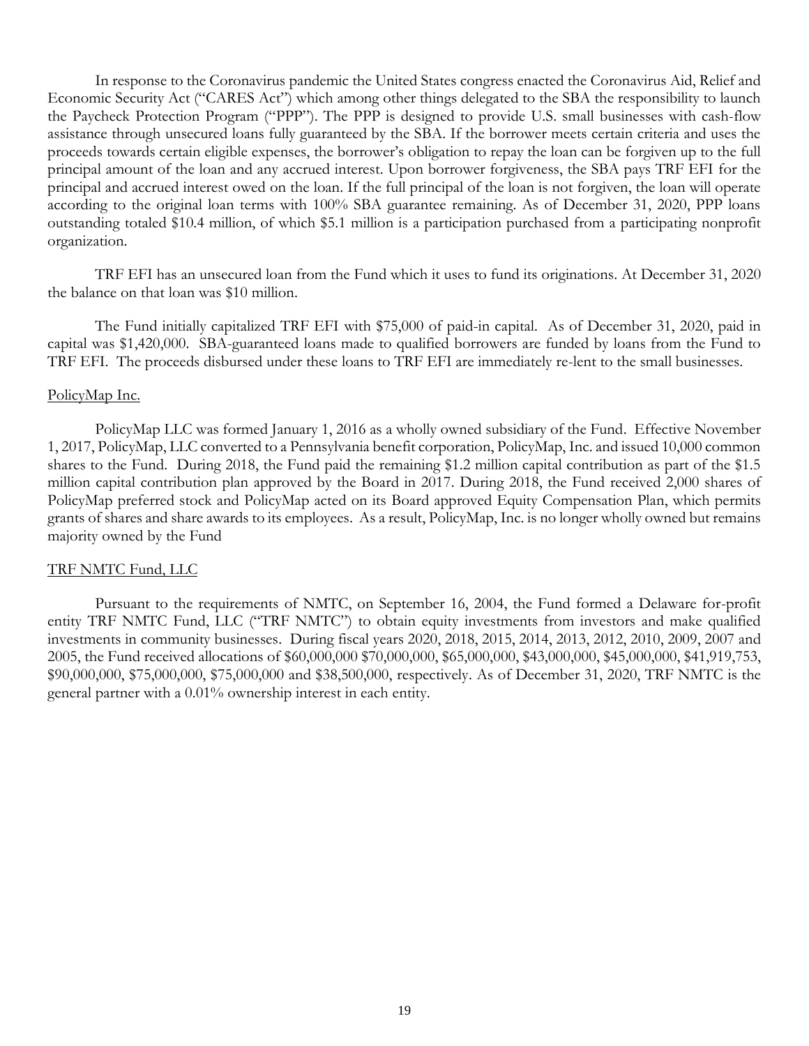In response to the Coronavirus pandemic the United States congress enacted the Coronavirus Aid, Relief and Economic Security Act ("CARES Act") which among other things delegated to the SBA the responsibility to launch the Paycheck Protection Program ("PPP"). The PPP is designed to provide U.S. small businesses with cash-flow assistance through unsecured loans fully guaranteed by the SBA. If the borrower meets certain criteria and uses the proceeds towards certain eligible expenses, the borrower's obligation to repay the loan can be forgiven up to the full principal amount of the loan and any accrued interest. Upon borrower forgiveness, the SBA pays TRF EFI for the principal and accrued interest owed on the loan. If the full principal of the loan is not forgiven, the loan will operate according to the original loan terms with 100% SBA guarantee remaining. As of December 31, 2020, PPP loans outstanding totaled \$10.4 million, of which \$5.1 million is a participation purchased from a participating nonprofit organization.

TRF EFI has an unsecured loan from the Fund which it uses to fund its originations. At December 31, 2020 the balance on that loan was \$10 million.

The Fund initially capitalized TRF EFI with \$75,000 of paid-in capital. As of December 31, 2020, paid in capital was \$1,420,000. SBA-guaranteed loans made to qualified borrowers are funded by loans from the Fund to TRF EFI. The proceeds disbursed under these loans to TRF EFI are immediately re-lent to the small businesses.

## PolicyMap Inc.

PolicyMap LLC was formed January 1, 2016 as a wholly owned subsidiary of the Fund. Effective November 1, 2017, PolicyMap, LLC converted to a Pennsylvania benefit corporation, PolicyMap, Inc. and issued 10,000 common shares to the Fund. During 2018, the Fund paid the remaining \$1.2 million capital contribution as part of the \$1.5 million capital contribution plan approved by the Board in 2017. During 2018, the Fund received 2,000 shares of PolicyMap preferred stock and PolicyMap acted on its Board approved Equity Compensation Plan, which permits grants of shares and share awards to its employees. As a result, PolicyMap, Inc. is no longer wholly owned but remains majority owned by the Fund

# TRF NMTC Fund, LLC

Pursuant to the requirements of NMTC, on September 16, 2004, the Fund formed a Delaware for-profit entity TRF NMTC Fund, LLC ("TRF NMTC") to obtain equity investments from investors and make qualified investments in community businesses. During fiscal years 2020, 2018, 2015, 2014, 2013, 2012, 2010, 2009, 2007 and 2005, the Fund received allocations of \$60,000,000 \$70,000,000, \$65,000,000, \$43,000,000, \$45,000,000, \$41,919,753, \$90,000,000, \$75,000,000, \$75,000,000 and \$38,500,000, respectively. As of December 31, 2020, TRF NMTC is the general partner with a 0.01% ownership interest in each entity.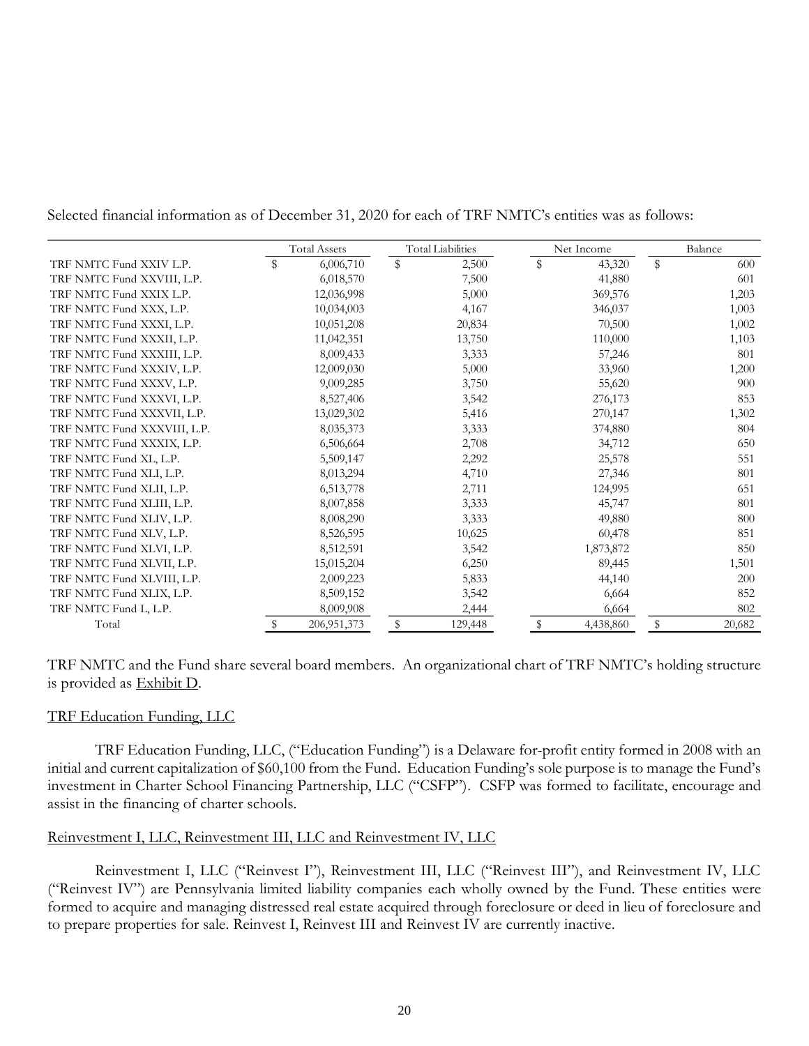Selected financial information as of December 31, 2020 for each of TRF NMTC's entities was as follows:

|                             | <b>Total Assets</b> | <b>Total Liabilities</b> |         |  | Net Income              |           |    | Balance |  |
|-----------------------------|---------------------|--------------------------|---------|--|-------------------------|-----------|----|---------|--|
| TRF NMTC Fund XXIV L.P.     | \$<br>6,006,710     | $\mathbb S$              | 2,500   |  | $\sqrt[6]{\frac{1}{2}}$ | 43,320    | \$ | 600     |  |
| TRF NMTC Fund XXVIII, L.P.  | 6,018,570           |                          | 7,500   |  |                         | 41,880    |    | 601     |  |
| TRF NMTC Fund XXIX L.P.     | 12,036,998          |                          | 5,000   |  |                         | 369,576   |    | 1,203   |  |
| TRF NMTC Fund XXX, L.P.     | 10,034,003          |                          | 4,167   |  |                         | 346,037   |    | 1,003   |  |
| TRF NMTC Fund XXXI, L.P.    | 10,051,208          |                          | 20,834  |  |                         | 70,500    |    | 1,002   |  |
| TRF NMTC Fund XXXII, L.P.   | 11,042,351          |                          | 13,750  |  |                         | 110,000   |    | 1,103   |  |
| TRF NMTC Fund XXXIII, L.P.  | 8,009,433           |                          | 3,333   |  |                         | 57,246    |    | 801     |  |
| TRF NMTC Fund XXXIV, L.P.   | 12,009,030          |                          | 5,000   |  |                         | 33,960    |    | 1,200   |  |
| TRF NMTC Fund XXXV, L.P.    | 9,009,285           |                          | 3,750   |  |                         | 55,620    |    | 900     |  |
| TRF NMTC Fund XXXVI, L.P.   | 8,527,406           |                          | 3,542   |  |                         | 276,173   |    | 853     |  |
| TRF NMTC Fund XXXVII, L.P.  | 13,029,302          |                          | 5,416   |  |                         | 270,147   |    | 1,302   |  |
| TRF NMTC Fund XXXVIII, L.P. | 8,035,373           |                          | 3,333   |  |                         | 374,880   |    | 804     |  |
| TRF NMTC Fund XXXIX, L.P.   | 6,506,664           |                          | 2,708   |  |                         | 34,712    |    | 650     |  |
| TRF NMTC Fund XL, L.P.      | 5,509,147           |                          | 2,292   |  |                         | 25,578    |    | 551     |  |
| TRF NMTC Fund XLI, L.P.     | 8,013,294           |                          | 4,710   |  |                         | 27,346    |    | 801     |  |
| TRF NMTC Fund XLII, L.P.    | 6,513,778           |                          | 2,711   |  |                         | 124,995   |    | 651     |  |
| TRF NMTC Fund XLIII, L.P.   | 8,007,858           |                          | 3,333   |  |                         | 45,747    |    | 801     |  |
| TRF NMTC Fund XLIV, L.P.    | 8,008,290           |                          | 3,333   |  |                         | 49,880    |    | 800     |  |
| TRF NMTC Fund XLV, L.P.     | 8,526,595           |                          | 10,625  |  |                         | 60,478    |    | 851     |  |
| TRF NMTC Fund XLVI, L.P.    | 8,512,591           |                          | 3,542   |  |                         | 1,873,872 |    | 850     |  |
| TRF NMTC Fund XLVII, L.P.   | 15,015,204          |                          | 6,250   |  |                         | 89,445    |    | 1,501   |  |
| TRF NMTC Fund XLVIII, L.P.  | 2,009,223           |                          | 5,833   |  |                         | 44,140    |    | 200     |  |
| TRF NMTC Fund XLIX, L.P.    | 8,509,152           |                          | 3,542   |  |                         | 6,664     |    | 852     |  |
| TRF NMTC Fund L, L.P.       | 8,009,908           |                          | 2,444   |  |                         | 6,664     |    | 802     |  |
| Total                       | \$<br>206, 951, 373 | \$                       | 129,448 |  | \$                      | 4,438,860 | \$ | 20,682  |  |

TRF NMTC and the Fund share several board members. An organizational chart of TRF NMTC's holding structure is provided as Exhibit D.

# TRF Education Funding, LLC

TRF Education Funding, LLC, ("Education Funding") is a Delaware for-profit entity formed in 2008 with an initial and current capitalization of \$60,100 from the Fund. Education Funding's sole purpose is to manage the Fund's investment in Charter School Financing Partnership, LLC ("CSFP"). CSFP was formed to facilitate, encourage and assist in the financing of charter schools.

# Reinvestment I, LLC, Reinvestment III, LLC and Reinvestment IV, LLC

Reinvestment I, LLC ("Reinvest I"), Reinvestment III, LLC ("Reinvest III"), and Reinvestment IV, LLC ("Reinvest IV") are Pennsylvania limited liability companies each wholly owned by the Fund. These entities were formed to acquire and managing distressed real estate acquired through foreclosure or deed in lieu of foreclosure and to prepare properties for sale. Reinvest I, Reinvest III and Reinvest IV are currently inactive.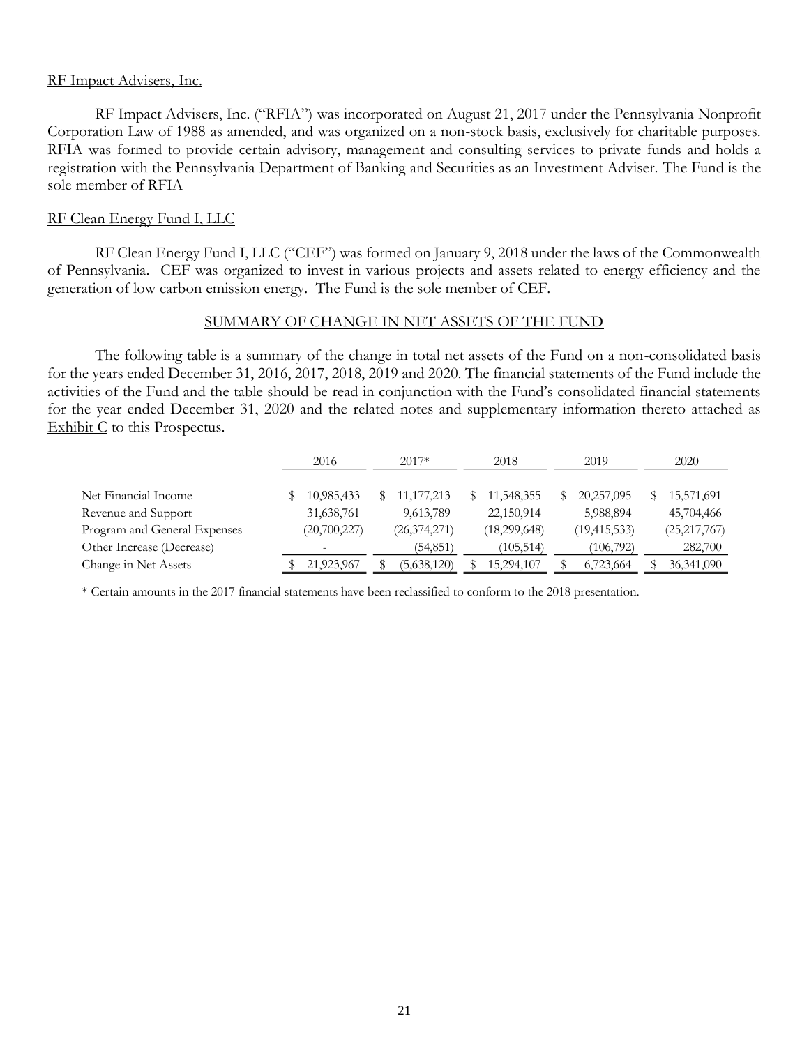# RF Impact Advisers, Inc.

RF Impact Advisers, Inc. ("RFIA") was incorporated on August 21, 2017 under the Pennsylvania Nonprofit Corporation Law of 1988 as amended, and was organized on a non-stock basis, exclusively for charitable purposes. RFIA was formed to provide certain advisory, management and consulting services to private funds and holds a registration with the Pennsylvania Department of Banking and Securities as an Investment Adviser. The Fund is the sole member of RFIA

# RF Clean Energy Fund I, LLC

RF Clean Energy Fund I, LLC ("CEF") was formed on January 9, 2018 under the laws of the Commonwealth of Pennsylvania. CEF was organized to invest in various projects and assets related to energy efficiency and the generation of low carbon emission energy. The Fund is the sole member of CEF.

# SUMMARY OF CHANGE IN NET ASSETS OF THE FUND

<span id="page-25-0"></span>The following table is a summary of the change in total net assets of the Fund on a non-consolidated basis for the years ended December 31, 2016, 2017, 2018, 2019 and 2020. The financial statements of the Fund include the activities of the Fund and the table should be read in conjunction with the Fund's consolidated financial statements for the year ended December 31, 2020 and the related notes and supplementary information thereto attached as Exhibit C to this Prospectus.

|                              | 2016                     | $2017*$        | 2018         | 2019           | 2020           |
|------------------------------|--------------------------|----------------|--------------|----------------|----------------|
| Net Financial Income         | 10,985,433               | 11, 177, 213   | 11,548,355   | 20,257,095     | 15,571,691     |
| Revenue and Support          | 31,638,761               | 9,613,789      | 22,150,914   | 5,988,894      | 45,704,466     |
| Program and General Expenses | (20,700,227)             | (26, 374, 271) | (18,299,648) | (19, 415, 533) | (25, 217, 767) |
| Other Increase (Decrease)    | $\overline{\phantom{a}}$ | (54, 851)      | (105, 514)   | (106,792)      | 282,700        |
| Change in Net Assets         | 21,923,967               | (5,638,120)    | 15,294,107   | 6,723,664      | 36, 341, 090   |

<span id="page-25-1"></span>\* Certain amounts in the 2017 financial statements have been reclassified to conform to the 2018 presentation.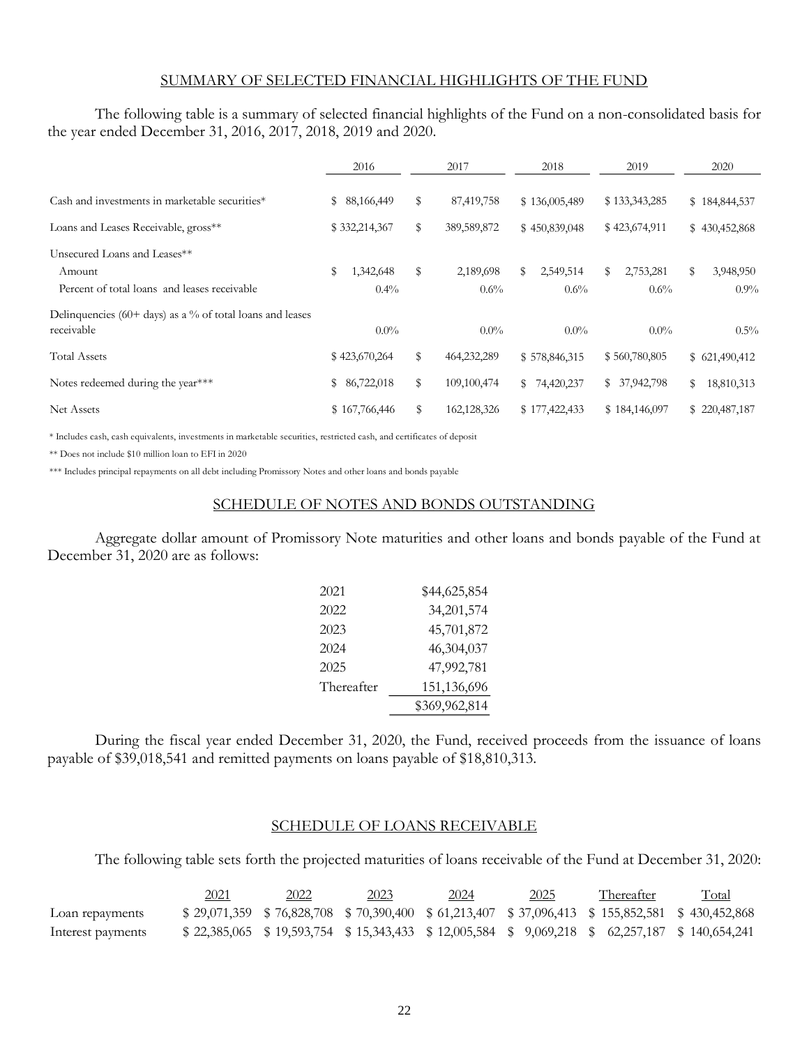## SUMMARY OF SELECTED FINANCIAL HIGHLIGHTS OF THE FUND

The following table is a summary of selected financial highlights of the Fund on a non-consolidated basis for the year ended December 31, 2016, 2017, 2018, 2019 and 2020.

|                                                                         | 2016            |    | 2017        | 2018            | 2019            | 2020             |
|-------------------------------------------------------------------------|-----------------|----|-------------|-----------------|-----------------|------------------|
| Cash and investments in marketable securities*                          | 88,166,449<br>S | S  | 87,419,758  | \$136,005,489   | \$133,343,285   | \$184,844,537    |
| Loans and Leases Receivable, gross**                                    | \$332,214,367   | S  | 389,589,872 | \$450,839,048   | \$423,674,911   | \$430,452,868    |
| Unsecured Loans and Leases**                                            |                 |    |             |                 |                 |                  |
| Amount                                                                  | \$<br>1,342,648 | S  | 2,189,698   | 2,549,514<br>S. | 2,753,281<br>\$ | 3,948,950<br>\$  |
| Percent of total loans and leases receivable                            | $0.4\%$         |    | $0.6\%$     | $0.6\%$         | $0.6\%$         | $0.9\%$          |
| Delinquencies (60+ days) as a % of total loans and leases<br>receivable | $0.0\%$         |    | $0.0\%$     | $0.0\%$         | $0.0\%$         | $0.5\%$          |
| <b>Total Assets</b>                                                     | \$423,670,264   | S  | 464,232,289 | \$578,846,315   | \$560,780,805   | \$621,490,412    |
| Notes redeemed during the year***                                       | 86,722,018<br>S | \$ | 109,100,474 | \$74,420,237    | \$37,942,798    | \$<br>18,810,313 |
| Net Assets                                                              | \$167,766,446   | S  | 162,128,326 | \$177,422,433   | \$184,146,097   | \$220,487,187    |

\* Includes cash, cash equivalents, investments in marketable securities, restricted cash, and certificates of deposit

\*\* Does not include \$10 million loan to EFI in 2020

<span id="page-26-0"></span>\*\*\* Includes principal repayments on all debt including Promissory Notes and other loans and bonds payable

#### SCHEDULE OF NOTES AND BONDS OUTSTANDING

Aggregate dollar amount of Promissory Note maturities and other loans and bonds payable of the Fund at December 31, 2020 are as follows:

| 2021       | \$44,625,854  |
|------------|---------------|
| 2022       | 34, 201, 574  |
| 2023       | 45,701,872    |
| 2024       | 46,304,037    |
| 2025       | 47,992,781    |
| Thereafter | 151,136,696   |
|            | \$369,962,814 |

During the fiscal year ended December 31, 2020, the Fund, received proceeds from the issuance of loans payable of \$39,018,541 and remitted payments on loans payable of \$18,810,313.

## SCHEDULE OF LOANS RECEIVABLE

<span id="page-26-1"></span>The following table sets forth the projected maturities of loans receivable of the Fund at December 31, 2020:

|                   | 2021 | 2022 | 2023 | 2024 | <u>2025</u> | Thereafter                                                                                          | <b>Total</b> |
|-------------------|------|------|------|------|-------------|-----------------------------------------------------------------------------------------------------|--------------|
| Loan repayments   |      |      |      |      |             | $$29,071,359$ $$76,828,708$ $$70,390,400$ $$61,213,407$ $$37,096,413$ $$155,852,581$ $$430,452,868$ |              |
| Interest payments |      |      |      |      |             | \$22,385,065 \$19,593,754 \$15,343,433 \$12,005,584 \$9,069,218 \$62,257,187 \$140,654,241          |              |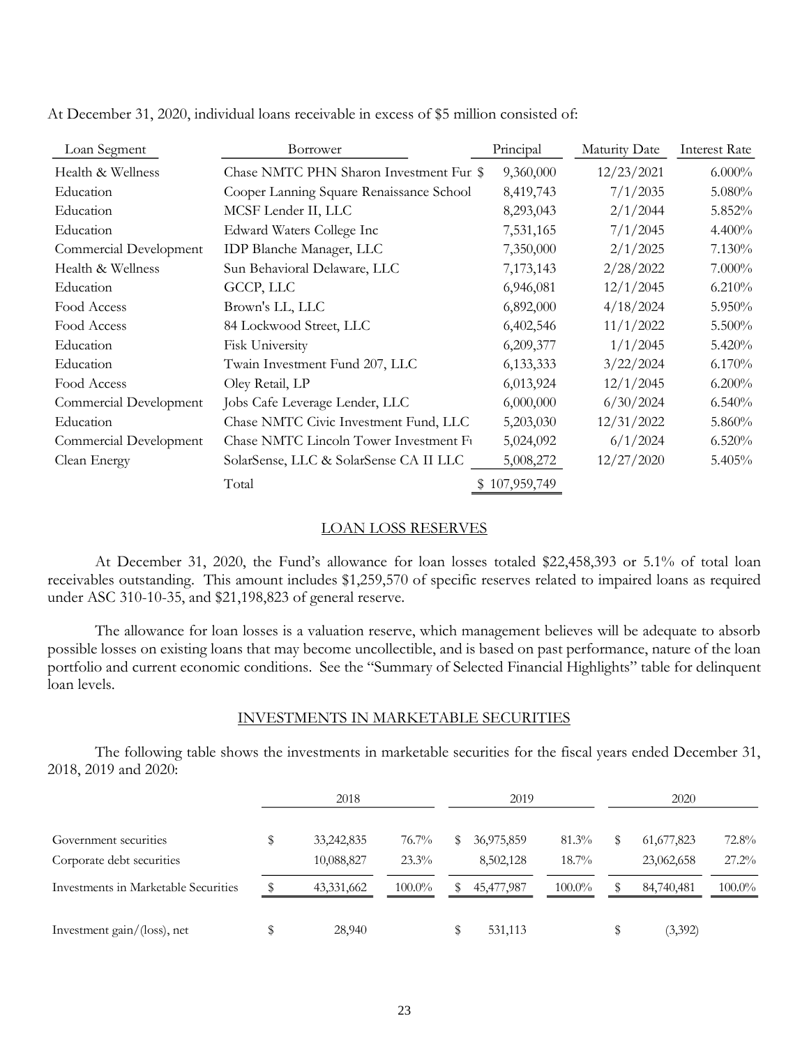| Loan Segment           | Borrower                                 | Principal     | Maturity Date | <b>Interest Rate</b> |
|------------------------|------------------------------------------|---------------|---------------|----------------------|
| Health & Wellness      | Chase NMTC PHN Sharon Investment Fur \$  | 9,360,000     | 12/23/2021    | 6.000%               |
| Education              | Cooper Lanning Square Renaissance School | 8,419,743     | 7/1/2035      | 5.080%               |
| Education              | MCSF Lender II, LLC                      | 8,293,043     | 2/1/2044      | 5.852%               |
| Education              | Edward Waters College Inc                | 7,531,165     | 7/1/2045      | 4.400%               |
| Commercial Development | <b>IDP Blanche Manager, LLC</b>          | 7,350,000     | 2/1/2025      | 7.130%               |
| Health & Wellness      | Sun Behavioral Delaware, LLC             | 7,173,143     | 2/28/2022     | 7.000%               |
| Education              | GCCP, LLC                                | 6,946,081     | 12/1/2045     | 6.210%               |
| Food Access            | Brown's LL, LLC                          | 6,892,000     | 4/18/2024     | 5.950%               |
| Food Access            | 84 Lockwood Street, LLC                  | 6,402,546     | 11/1/2022     | 5.500%               |
| Education              | <b>Fisk University</b>                   | 6,209,377     | 1/1/2045      | 5.420%               |
| Education              | Twain Investment Fund 207, LLC           | 6,133,333     | 3/22/2024     | 6.170%               |
| Food Access            | Oley Retail, LP                          | 6,013,924     | 12/1/2045     | 6.200%               |
| Commercial Development | Jobs Cafe Leverage Lender, LLC           | 6,000,000     | 6/30/2024     | 6.540%               |
| Education              | Chase NMTC Civic Investment Fund, LLC    | 5,203,030     | 12/31/2022    | $5.860\%$            |
| Commercial Development | Chase NMTC Lincoln Tower Investment Ft   | 5,024,092     | 6/1/2024      | 6.520%               |
| Clean Energy           | SolarSense, LLC & SolarSense CA II LLC   | 5,008,272     | 12/27/2020    | 5.405%               |
|                        | Total                                    | \$107,959,749 |               |                      |

At December 31, 2020, individual loans receivable in excess of \$5 million consisted of:

## LOAN LOSS RESERVES

<span id="page-27-0"></span>At December 31, 2020, the Fund's allowance for loan losses totaled \$22,458,393 or 5.1% of total loan receivables outstanding. This amount includes \$1,259,570 of specific reserves related to impaired loans as required under ASC 310-10-35, and \$21,198,823 of general reserve.

The allowance for loan losses is a valuation reserve, which management believes will be adequate to absorb possible losses on existing loans that may become uncollectible, and is based on past performance, nature of the loan portfolio and current economic conditions. See the "Summary of Selected Financial Highlights" table for delinquent loan levels.

## INVESTMENTS IN MARKETABLE SECURITIES

<span id="page-27-1"></span>The following table shows the investments in marketable securities for the fiscal years ended December 31, 2018, 2019 and 2020:

|                                      | 2018 |            |           |     | 2019       |           | 2020 |              |           |
|--------------------------------------|------|------------|-----------|-----|------------|-----------|------|--------------|-----------|
| Government securities                |      | 33,242,835 | $76.7\%$  | SS. | 36,975,859 | $81.3\%$  |      | 61, 677, 823 | $72.8\%$  |
| Corporate debt securities            |      | 10,088,827 | $23.3\%$  |     | 8,502,128  | $18.7\%$  |      | 23,062,658   | $27.2\%$  |
| Investments in Marketable Securities |      | 43,331,662 | $100.0\%$ | SS. | 45,477,987 | $100.0\%$ |      | 84,740,481   | $100.0\%$ |
| Investment gain/(loss), net          |      | 28,940     |           |     | 531,113    |           |      | (3,392)      |           |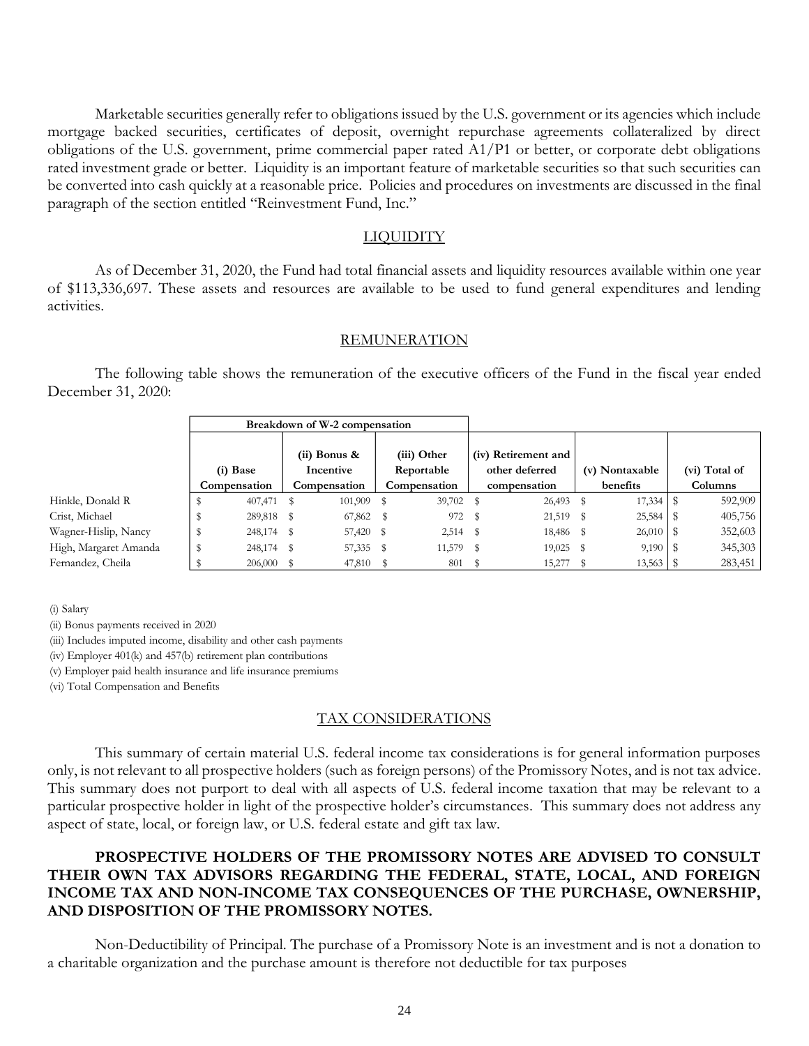Marketable securities generally refer to obligations issued by the U.S. government or its agencies which include mortgage backed securities, certificates of deposit, overnight repurchase agreements collateralized by direct obligations of the U.S. government, prime commercial paper rated A1/P1 or better, or corporate debt obligations rated investment grade or better. Liquidity is an important feature of marketable securities so that such securities can be converted into cash quickly at a reasonable price. Policies and procedures on investments are discussed in the final paragraph of the section entitled "Reinvestment Fund, Inc."

#### LIQUIDITY

<span id="page-28-0"></span>As of December 31, 2020, the Fund had total financial assets and liquidity resources available within one year of \$113,336,697. These assets and resources are available to be used to fund general expenditures and lending activities.

#### **REMUNERATION**

<span id="page-28-1"></span>The following table shows the remuneration of the executive officers of the Fund in the fiscal year ended December 31, 2020:

|                                                                                                                                                                                                                                                                                                                                                                                                                                                           | Breakdown of W-2 compensation |                             |                           |                                                                                                             |                |                          |
|-----------------------------------------------------------------------------------------------------------------------------------------------------------------------------------------------------------------------------------------------------------------------------------------------------------------------------------------------------------------------------------------------------------------------------------------------------------|-------------------------------|-----------------------------|---------------------------|-------------------------------------------------------------------------------------------------------------|----------------|--------------------------|
|                                                                                                                                                                                                                                                                                                                                                                                                                                                           | (i) Base                      | $(ii)$ Bonus &<br>Incentive | (iii) Other<br>Reportable | (iv) Retirement and<br>other deferred                                                                       | (v) Nontaxable | (vi) Total of            |
|                                                                                                                                                                                                                                                                                                                                                                                                                                                           | Compensation                  | Compensation                | Compensation              | compensation                                                                                                | benefits       | Columns                  |
| Hinkle, Donald R                                                                                                                                                                                                                                                                                                                                                                                                                                          | 407,471<br>S                  | 101,909<br>\$               | 39,702 \$<br>\$           | $26,493$ \$                                                                                                 | 17,334         | $\sqrt[6]{3}$<br>592,909 |
| Crist, Michael                                                                                                                                                                                                                                                                                                                                                                                                                                            | \$<br>289,818                 | 67,862<br>\$                | 972<br>s                  | \$<br>21,519 \$                                                                                             | 25,584         | 405,756<br>\$            |
| Wagner-Hislip, Nancy                                                                                                                                                                                                                                                                                                                                                                                                                                      | \$<br>248,174                 | 57,420<br>\$                | - \$<br>$2,514$ \$        | 18,486 \$                                                                                                   | 26,010         | 352,603<br>-\$           |
| High, Margaret Amanda                                                                                                                                                                                                                                                                                                                                                                                                                                     | \$<br>248,174                 | 57,335<br>- \$              | 11,579<br>- \$            | 19,025<br>\$                                                                                                | - \$<br>9,190  | 345,303<br>- \$          |
| Fernandez, Cheila                                                                                                                                                                                                                                                                                                                                                                                                                                         | S<br>206,000                  | 47,810<br>\$                | s<br>801                  | \$<br>15,277                                                                                                | 13,563<br>- \$ | 283,451<br>\$            |
| (iv) Employer 401(k) and 457(b) retirement plan contributions<br>(v) Employer paid health insurance and life insurance premiums<br>(vi) Total Compensation and Benefits                                                                                                                                                                                                                                                                                   |                               |                             |                           |                                                                                                             |                |                          |
|                                                                                                                                                                                                                                                                                                                                                                                                                                                           |                               |                             | <b>TAX CONSIDERATIONS</b> |                                                                                                             |                |                          |
| only, is not relevant to all prospective holders (such as foreign persons) of the Promissory Notes, and is not tax advice.<br>This summary does not purport to deal with all aspects of U.S. federal income taxation that may be relevant to a<br>particular prospective holder in light of the prospective holder's circumstances. This summary does not address any<br>aspect of state, local, or foreign law, or U.S. federal estate and gift tax law. |                               |                             |                           | This summary of certain material U.S. federal income tax considerations is for general information purposes |                |                          |
| THEIR OWN TAX ADVISORS REGARDING THE FEDERAL, STATE, LOCAL, AND FOREIGN<br>INCOME TAX AND NON-INCOME TAX CONSEQUENCES OF THE PURCHASE, OWNERSHIP,<br>AND DISPOSITION OF THE PROMISSORY NOTES.                                                                                                                                                                                                                                                             |                               |                             |                           | PROSPECTIVE HOLDERS OF THE PROMISSORY NOTES ARE ADVISED TO CONSULT                                          |                |                          |
| a charitable organization and the purchase amount is therefore not deductible for tax purposes                                                                                                                                                                                                                                                                                                                                                            |                               |                             |                           | Non-Deductibility of Principal. The purchase of a Promissory Note is an investment and is not a donation to |                |                          |

## <span id="page-28-2"></span>TAX CONSIDERATIONS

# **PROSPECTIVE HOLDERS OF THE PROMISSORY NOTES ARE ADVISED TO CONSULT THEIR OWN TAX ADVISORS REGARDING THE FEDERAL, STATE, LOCAL, AND FOREIGN INCOME TAX AND NON-INCOME TAX CONSEQUENCES OF THE PURCHASE, OWNERSHIP, AND DISPOSITION OF THE PROMISSORY NOTES.**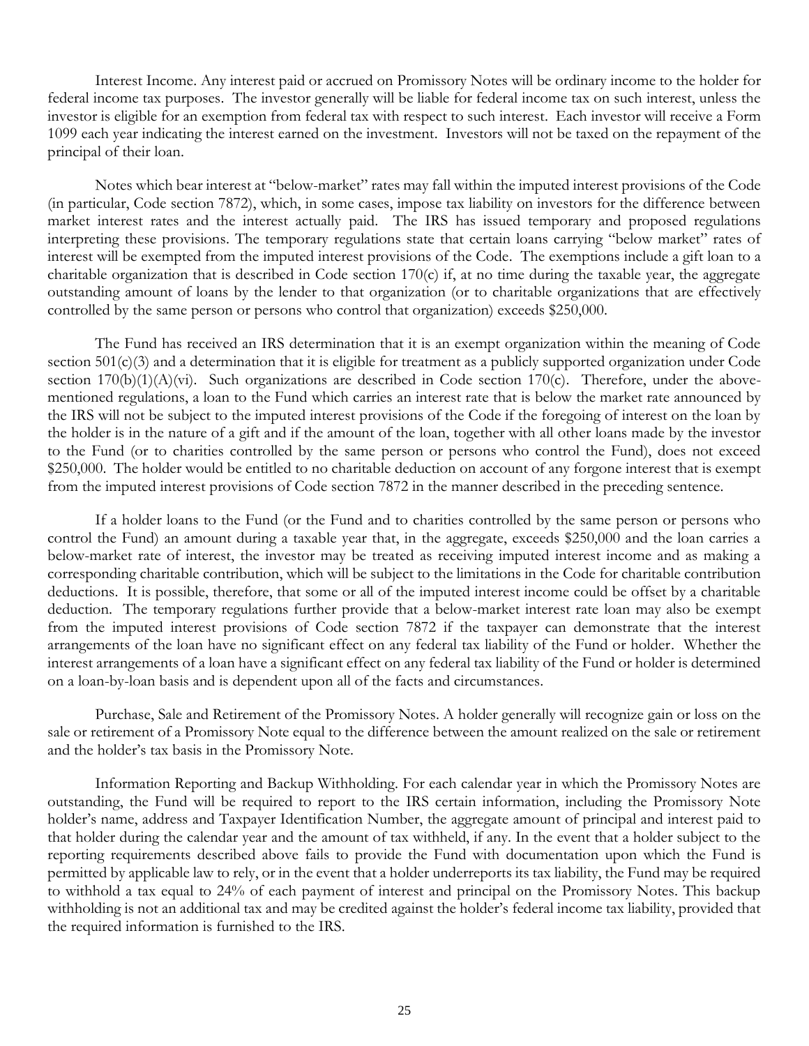Interest Income. Any interest paid or accrued on Promissory Notes will be ordinary income to the holder for federal income tax purposes. The investor generally will be liable for federal income tax on such interest, unless the investor is eligible for an exemption from federal tax with respect to such interest. Each investor will receive a Form 1099 each year indicating the interest earned on the investment. Investors will not be taxed on the repayment of the principal of their loan.

Notes which bear interest at "below-market" rates may fall within the imputed interest provisions of the Code (in particular, Code section 7872), which, in some cases, impose tax liability on investors for the difference between market interest rates and the interest actually paid. The IRS has issued temporary and proposed regulations interpreting these provisions. The temporary regulations state that certain loans carrying "below market" rates of interest will be exempted from the imputed interest provisions of the Code. The exemptions include a gift loan to a charitable organization that is described in Code section 170(c) if, at no time during the taxable year, the aggregate outstanding amount of loans by the lender to that organization (or to charitable organizations that are effectively controlled by the same person or persons who control that organization) exceeds \$250,000.

The Fund has received an IRS determination that it is an exempt organization within the meaning of Code section  $501(c)(3)$  and a determination that it is eligible for treatment as a publicly supported organization under Code section  $170(b)(1)(A)(vi)$ . Such organizations are described in Code section  $170(c)$ . Therefore, under the abovementioned regulations, a loan to the Fund which carries an interest rate that is below the market rate announced by the IRS will not be subject to the imputed interest provisions of the Code if the foregoing of interest on the loan by the holder is in the nature of a gift and if the amount of the loan, together with all other loans made by the investor to the Fund (or to charities controlled by the same person or persons who control the Fund), does not exceed \$250,000. The holder would be entitled to no charitable deduction on account of any forgone interest that is exempt from the imputed interest provisions of Code section 7872 in the manner described in the preceding sentence.

If a holder loans to the Fund (or the Fund and to charities controlled by the same person or persons who control the Fund) an amount during a taxable year that, in the aggregate, exceeds \$250,000 and the loan carries a below-market rate of interest, the investor may be treated as receiving imputed interest income and as making a corresponding charitable contribution, which will be subject to the limitations in the Code for charitable contribution deductions. It is possible, therefore, that some or all of the imputed interest income could be offset by a charitable deduction. The temporary regulations further provide that a below-market interest rate loan may also be exempt from the imputed interest provisions of Code section 7872 if the taxpayer can demonstrate that the interest arrangements of the loan have no significant effect on any federal tax liability of the Fund or holder. Whether the interest arrangements of a loan have a significant effect on any federal tax liability of the Fund or holder is determined on a loan-by-loan basis and is dependent upon all of the facts and circumstances.

Purchase, Sale and Retirement of the Promissory Notes. A holder generally will recognize gain or loss on the sale or retirement of a Promissory Note equal to the difference between the amount realized on the sale or retirement and the holder's tax basis in the Promissory Note.

Information Reporting and Backup Withholding. For each calendar year in which the Promissory Notes are outstanding, the Fund will be required to report to the IRS certain information, including the Promissory Note holder's name, address and Taxpayer Identification Number, the aggregate amount of principal and interest paid to that holder during the calendar year and the amount of tax withheld, if any. In the event that a holder subject to the reporting requirements described above fails to provide the Fund with documentation upon which the Fund is permitted by applicable law to rely, or in the event that a holder underreports its tax liability, the Fund may be required to withhold a tax equal to 24% of each payment of interest and principal on the Promissory Notes. This backup withholding is not an additional tax and may be credited against the holder's federal income tax liability, provided that the required information is furnished to the IRS.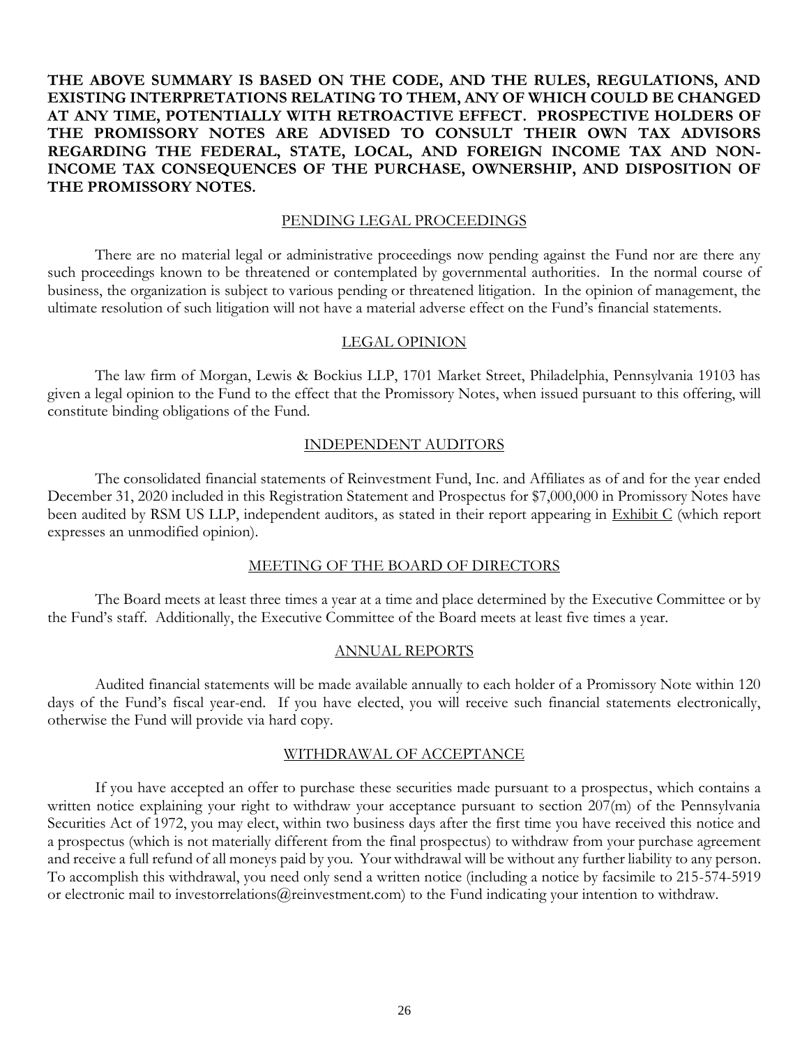# **THE ABOVE SUMMARY IS BASED ON THE CODE, AND THE RULES, REGULATIONS, AND EXISTING INTERPRETATIONS RELATING TO THEM, ANY OF WHICH COULD BE CHANGED AT ANY TIME, POTENTIALLY WITH RETROACTIVE EFFECT. PROSPECTIVE HOLDERS OF THE PROMISSORY NOTES ARE ADVISED TO CONSULT THEIR OWN TAX ADVISORS REGARDING THE FEDERAL, STATE, LOCAL, AND FOREIGN INCOME TAX AND NON-INCOME TAX CONSEQUENCES OF THE PURCHASE, OWNERSHIP, AND DISPOSITION OF THE PROMISSORY NOTES.**

#### PENDING LEGAL PROCEEDINGS

<span id="page-30-0"></span>There are no material legal or administrative proceedings now pending against the Fund nor are there any such proceedings known to be threatened or contemplated by governmental authorities. In the normal course of business, the organization is subject to various pending or threatened litigation. In the opinion of management, the ultimate resolution of such litigation will not have a material adverse effect on the Fund's financial statements.

#### LEGAL OPINION

<span id="page-30-1"></span>The law firm of Morgan, Lewis & Bockius LLP, 1701 Market Street, Philadelphia, Pennsylvania 19103 has given a legal opinion to the Fund to the effect that the Promissory Notes, when issued pursuant to this offering, will constitute binding obligations of the Fund.

## INDEPENDENT AUDITORS

<span id="page-30-2"></span>The consolidated financial statements of Reinvestment Fund, Inc. and Affiliates as of and for the year ended December 31, 2020 included in this Registration Statement and Prospectus for \$7,000,000 in Promissory Notes have been audited by RSM US LLP, independent auditors, as stated in their report appearing in Exhibit C (which report expresses an unmodified opinion).

## MEETING OF THE BOARD OF DIRECTORS

<span id="page-30-3"></span>The Board meets at least three times a year at a time and place determined by the Executive Committee or by the Fund's staff. Additionally, the Executive Committee of the Board meets at least five times a year.

#### ANNUAL REPORTS

<span id="page-30-4"></span>Audited financial statements will be made available annually to each holder of a Promissory Note within 120 days of the Fund's fiscal year-end. If you have elected, you will receive such financial statements electronically, otherwise the Fund will provide via hard copy.

#### WITHDRAWAL OF ACCEPTANCE

<span id="page-30-5"></span>If you have accepted an offer to purchase these securities made pursuant to a prospectus, which contains a written notice explaining your right to withdraw your acceptance pursuant to section 207(m) of the Pennsylvania Securities Act of 1972, you may elect, within two business days after the first time you have received this notice and a prospectus (which is not materially different from the final prospectus) to withdraw from your purchase agreement and receive a full refund of all moneys paid by you. Your withdrawal will be without any further liability to any person. To accomplish this withdrawal, you need only send a written notice (including a notice by facsimile to 215-574-5919 or electronic mail to investorrelations@reinvestment.com) to the Fund indicating your intention to withdraw.